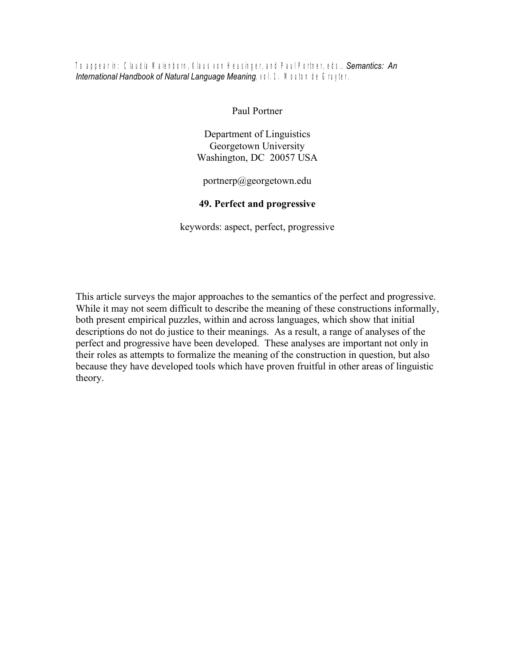To appear in: Claudia Maienborn, Klaus von Heusinger, and Paul Portner, eds., *Semantics: An International Handbook of Natural Language Meaning*, vol. 1. Mouton de Gruyter.

Paul Portner

Department of Linguistics Georgetown University Washington, DC 20057 USA

portnerp@georgetown.edu

#### **49. Perfect and progressive**

keywords: aspect, perfect, progressive

This article surveys the major approaches to the semantics of the perfect and progressive. While it may not seem difficult to describe the meaning of these constructions informally, both present empirical puzzles, within and across languages, which show that initial descriptions do not do justice to their meanings. As a result, a range of analyses of the perfect and progressive have been developed. These analyses are important not only in their roles as attempts to formalize the meaning of the construction in question, but also because they have developed tools which have proven fruitful in other areas of linguistic theory.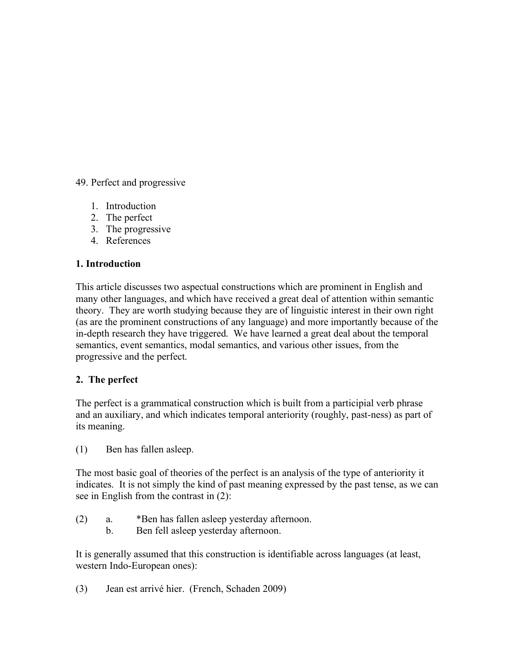- 49. Perfect and progressive
	- 1. Introduction
	- 2. The perfect
	- 3. The progressive
	- 4. References

### **1. Introduction**

This article discusses two aspectual constructions which are prominent in English and many other languages, and which have received a great deal of attention within semantic theory. They are worth studying because they are of linguistic interest in their own right (as are the prominent constructions of any language) and more importantly because of the in-depth research they have triggered. We have learned a great deal about the temporal semantics, event semantics, modal semantics, and various other issues, from the progressive and the perfect.

# **2. The perfect**

The perfect is a grammatical construction which is built from a participial verb phrase and an auxiliary, and which indicates temporal anteriority (roughly, past-ness) as part of its meaning.

(1) Ben has fallen asleep.

The most basic goal of theories of the perfect is an analysis of the type of anteriority it indicates. It is not simply the kind of past meaning expressed by the past tense, as we can see in English from the contrast in (2):

- (2) a. \*Ben has fallen asleep yesterday afternoon.
	- b. Ben fell asleep yesterday afternoon.

It is generally assumed that this construction is identifiable across languages (at least, western Indo-European ones):

(3) Jean est arrivé hier. (French, Schaden 2009)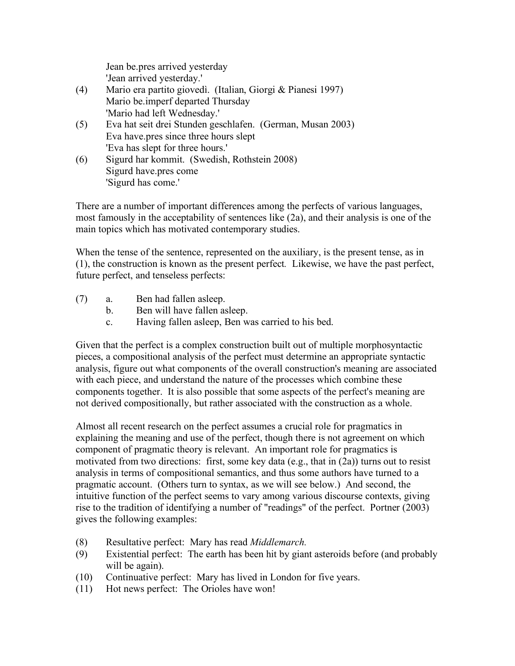Jean be.pres arrived yesterday 'Jean arrived yesterday.'

- (4) Mario era partito giovedì. (Italian, Giorgi & Pianesi 1997) Mario be.imperf departed Thursday 'Mario had left Wednesday.'
- (5) Eva hat seit drei Stunden geschlafen. (German, Musan 2003) Eva have.pres since three hours slept 'Eva has slept for three hours.'
- (6) Sigurd har kommit. (Swedish, Rothstein 2008) Sigurd have.pres come 'Sigurd has come.'

There are a number of important differences among the perfects of various languages, most famously in the acceptability of sentences like (2a), and their analysis is one of the main topics which has motivated contemporary studies.

When the tense of the sentence, represented on the auxiliary, is the present tense, as in (1), the construction is known as the present perfect*.* Likewise, we have the past perfect, future perfect, and tenseless perfects:

- (7) a. Ben had fallen asleep.
	- b. Ben will have fallen asleep.
	- c. Having fallen asleep, Ben was carried to his bed.

Given that the perfect is a complex construction built out of multiple morphosyntactic pieces, a compositional analysis of the perfect must determine an appropriate syntactic analysis, figure out what components of the overall construction's meaning are associated with each piece, and understand the nature of the processes which combine these components together. It is also possible that some aspects of the perfect's meaning are not derived compositionally, but rather associated with the construction as a whole.

Almost all recent research on the perfect assumes a crucial role for pragmatics in explaining the meaning and use of the perfect, though there is not agreement on which component of pragmatic theory is relevant. An important role for pragmatics is motivated from two directions: first, some key data (e.g., that in (2a)) turns out to resist analysis in terms of compositional semantics, and thus some authors have turned to a pragmatic account. (Others turn to syntax, as we will see below.) And second, the intuitive function of the perfect seems to vary among various discourse contexts, giving rise to the tradition of identifying a number of "readings" of the perfect. Portner (2003) gives the following examples:

- (8) Resultative perfect: Mary has read *Middlemarch.*
- (9) Existential perfect: The earth has been hit by giant asteroids before (and probably will be again).
- (10) Continuative perfect: Mary has lived in London for five years.
- (11) Hot news perfect: The Orioles have won!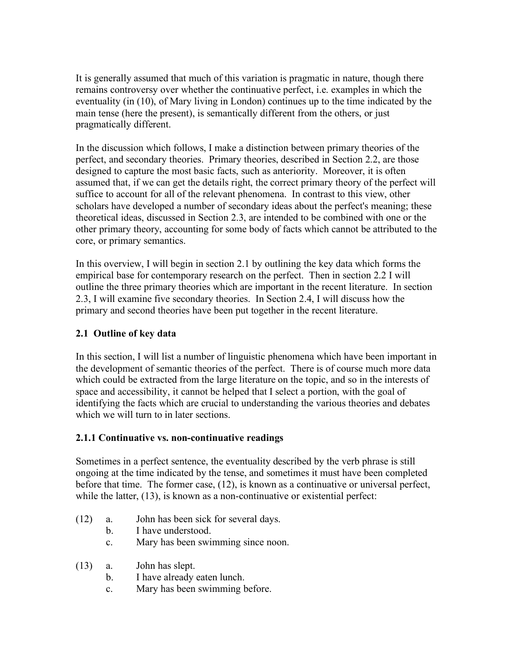It is generally assumed that much of this variation is pragmatic in nature, though there remains controversy over whether the continuative perfect, i.e. examples in which the eventuality (in (10), of Mary living in London) continues up to the time indicated by the main tense (here the present), is semantically different from the others, or just pragmatically different.

In the discussion which follows, I make a distinction between primary theories of the perfect, and secondary theories. Primary theories, described in Section 2.2, are those designed to capture the most basic facts, such as anteriority. Moreover, it is often assumed that, if we can get the details right, the correct primary theory of the perfect will suffice to account for all of the relevant phenomena. In contrast to this view, other scholars have developed a number of secondary ideas about the perfect's meaning; these theoretical ideas, discussed in Section 2.3, are intended to be combined with one or the other primary theory, accounting for some body of facts which cannot be attributed to the core, or primary semantics.

In this overview, I will begin in section 2.1 by outlining the key data which forms the empirical base for contemporary research on the perfect. Then in section 2.2 I will outline the three primary theories which are important in the recent literature. In section 2.3, I will examine five secondary theories. In Section 2.4, I will discuss how the primary and second theories have been put together in the recent literature.

# **2.1 Outline of key data**

In this section, I will list a number of linguistic phenomena which have been important in the development of semantic theories of the perfect. There is of course much more data which could be extracted from the large literature on the topic, and so in the interests of space and accessibility, it cannot be helped that I select a portion, with the goal of identifying the facts which are crucial to understanding the various theories and debates which we will turn to in later sections.

### **2.1.1 Continuative vs. non-continuative readings**

Sometimes in a perfect sentence, the eventuality described by the verb phrase is still ongoing at the time indicated by the tense, and sometimes it must have been completed before that time. The former case, (12), is known as a continuative or universal perfect, while the latter, (13), is known as a non-continuative or existential perfect:

- (12) a. John has been sick for several days.
	- b. I have understood.
	- c. Mary has been swimming since noon.
- (13) a. John has slept.
	- b. I have already eaten lunch.
	- c. Mary has been swimming before.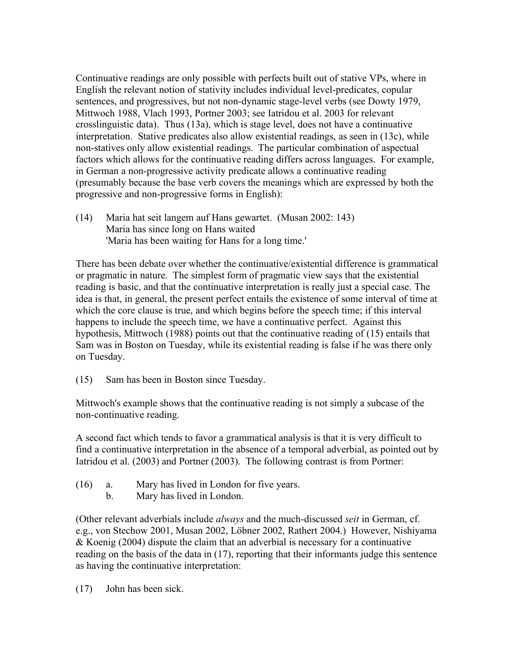Continuative readings are only possible with perfects built out of stative VPs, where in English the relevant notion of stativity includes individual level-predicates, copular sentences, and progressives, but not non-dynamic stage-level verbs (see Dowty 1979, Mittwoch 1988, Vlach 1993, Portner 2003; see Iatridou et al. 2003 for relevant crosslinguistic data). Thus (13a), which is stage level, does not have a continuative interpretation. Stative predicates also allow existential readings, as seen in (13c), while non-statives only allow existential readings. The particular combination of aspectual factors which allows for the continuative reading differs across languages. For example, in German a non-progressive activity predicate allows a continuative reading (presumably because the base verb covers the meanings which are expressed by both the progressive and non-progressive forms in English):

(14) Maria hat seit langem auf Hans gewartet. (Musan 2002: 143) Maria has since long on Hans waited 'Maria has been waiting for Hans for a long time.'

There has been debate over whether the continuative/existential difference is grammatical or pragmatic in nature. The simplest form of pragmatic view says that the existential reading is basic, and that the continuative interpretation is really just a special case. The idea is that, in general, the present perfect entails the existence of some interval of time at which the core clause is true, and which begins before the speech time; if this interval happens to include the speech time, we have a continuative perfect. Against this hypothesis, Mittwoch (1988) points out that the continuative reading of (15) entails that Sam was in Boston on Tuesday, while its existential reading is false if he was there only on Tuesday.

(15) Sam has been in Boston since Tuesday.

Mittwoch's example shows that the continuative reading is not simply a subcase of the non-continuative reading.

A second fact which tends to favor a grammatical analysis is that it is very difficult to find a continuative interpretation in the absence of a temporal adverbial, as pointed out by Iatridou et al. (2003) and Portner (2003). The following contrast is from Portner:

- (16) a. Mary has lived in London for five years.
	- b. Mary has lived in London.

(Other relevant adverbials include *always* and the much-discussed *seit* in German, cf. e.g., von Stechow 2001, Musan 2002, Löbner 2002, Rathert 2004.) However, Nishiyama & Koenig (2004) dispute the claim that an adverbial is necessary for a continuative reading on the basis of the data in (17), reporting that their informants judge this sentence as having the continuative interpretation:

(17) John has been sick.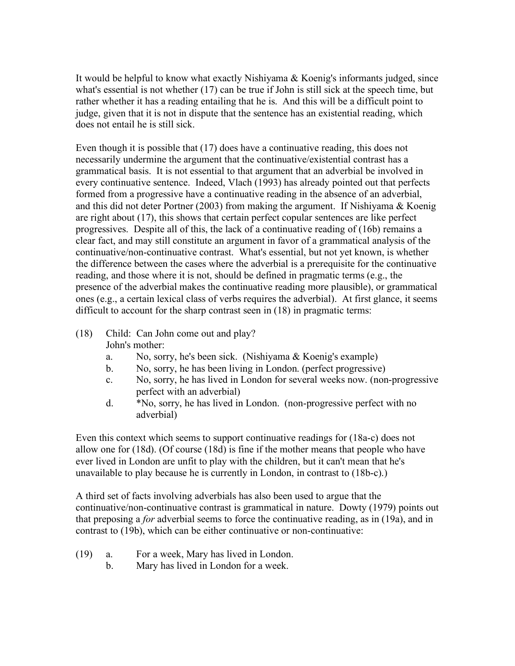It would be helpful to know what exactly Nishiyama & Koenig's informants judged, since what's essential is not whether (17) can be true if John is still sick at the speech time, but rather whether it has a reading entailing that he is. And this will be a difficult point to judge, given that it is not in dispute that the sentence has an existential reading, which does not entail he is still sick.

Even though it is possible that (17) does have a continuative reading, this does not necessarily undermine the argument that the continuative/existential contrast has a grammatical basis. It is not essential to that argument that an adverbial be involved in every continuative sentence. Indeed, Vlach (1993) has already pointed out that perfects formed from a progressive have a continuative reading in the absence of an adverbial, and this did not deter Portner (2003) from making the argument. If Nishiyama & Koenig are right about (17), this shows that certain perfect copular sentences are like perfect progressives. Despite all of this, the lack of a continuative reading of (16b) remains a clear fact, and may still constitute an argument in favor of a grammatical analysis of the continuative/non-continuative contrast. What's essential, but not yet known, is whether the difference between the cases where the adverbial is a prerequisite for the continuative reading, and those where it is not, should be defined in pragmatic terms (e.g., the presence of the adverbial makes the continuative reading more plausible), or grammatical ones (e.g., a certain lexical class of verbs requires the adverbial). At first glance, it seems difficult to account for the sharp contrast seen in (18) in pragmatic terms:

- (18) Child: Can John come out and play? John's mother:
	- a. No, sorry, he's been sick. (Nishiyama & Koenig's example)
	- b. No, sorry, he has been living in London. (perfect progressive)
	- c. No, sorry, he has lived in London for several weeks now. (non-progressive perfect with an adverbial)
	- d. \*No, sorry, he has lived in London. (non-progressive perfect with no adverbial)

Even this context which seems to support continuative readings for (18a-c) does not allow one for (18d). (Of course (18d) is fine if the mother means that people who have ever lived in London are unfit to play with the children, but it can't mean that he's unavailable to play because he is currently in London, in contrast to (18b-c).)

A third set of facts involving adverbials has also been used to argue that the continuative/non-continuative contrast is grammatical in nature. Dowty (1979) points out that preposing a *for* adverbial seems to force the continuative reading, as in (19a), and in contrast to (19b), which can be either continuative or non-continuative:

- (19) a. For a week, Mary has lived in London.
	- b. Mary has lived in London for a week.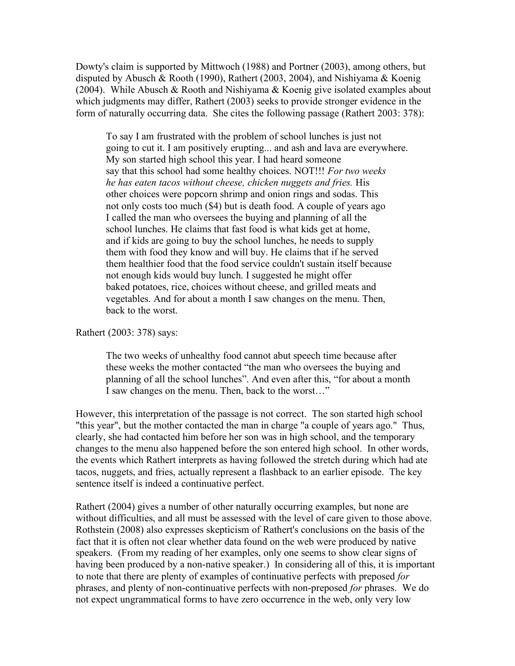Dowty's claim is supported by Mittwoch (1988) and Portner (2003), among others, but disputed by Abusch & Rooth (1990), Rathert (2003, 2004), and Nishiyama & Koenig (2004). While Abusch & Rooth and Nishiyama & Koenig give isolated examples about which judgments may differ, Rathert (2003) seeks to provide stronger evidence in the form of naturally occurring data. She cites the following passage (Rathert 2003: 378):

To say I am frustrated with the problem of school lunches is just not going to cut it. I am positively erupting... and ash and lava are everywhere. My son started high school this year. I had heard someone say that this school had some healthy choices. NOT!!! *For two weeks he has eaten tacos without cheese, chicken nuggets and fries.* His other choices were popcorn shrimp and onion rings and sodas. This not only costs too much (\$4) but is death food. A couple of years ago I called the man who oversees the buying and planning of all the school lunches. He claims that fast food is what kids get at home, and if kids are going to buy the school lunches, he needs to supply them with food they know and will buy. He claims that if he served them healthier food that the food service couldn't sustain itself because not enough kids would buy lunch. I suggested he might offer baked potatoes, rice, choices without cheese, and grilled meats and vegetables. And for about a month I saw changes on the menu. Then, back to the worst.

Rathert (2003: 378) says:

The two weeks of unhealthy food cannot abut speech time because after these weeks the mother contacted "the man who oversees the buying and planning of all the school lunches". And even after this, "for about a month I saw changes on the menu. Then, back to the worst…"

However, this interpretation of the passage is not correct. The son started high school "this year", but the mother contacted the man in charge "a couple of years ago." Thus, clearly, she had contacted him before her son was in high school, and the temporary changes to the menu also happened before the son entered high school. In other words, the events which Rathert interprets as having followed the stretch during which had ate tacos, nuggets, and fries, actually represent a flashback to an earlier episode. The key sentence itself is indeed a continuative perfect.

Rathert (2004) gives a number of other naturally occurring examples, but none are without difficulties, and all must be assessed with the level of care given to those above. Rothstein (2008) also expresses skepticism of Rathert's conclusions on the basis of the fact that it is often not clear whether data found on the web were produced by native speakers. (From my reading of her examples, only one seems to show clear signs of having been produced by a non-native speaker.) In considering all of this, it is important to note that there are plenty of examples of continuative perfects with preposed *for* phrases, and plenty of non-continuative perfects with non-preposed *for* phrases. We do not expect ungrammatical forms to have zero occurrence in the web, only very low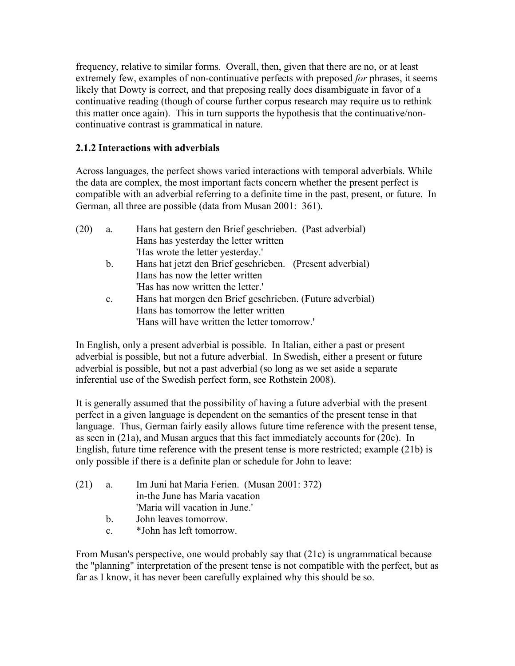frequency, relative to similar forms. Overall, then, given that there are no, or at least extremely few, examples of non-continuative perfects with preposed *for* phrases, it seems likely that Dowty is correct, and that preposing really does disambiguate in favor of a continuative reading (though of course further corpus research may require us to rethink this matter once again). This in turn supports the hypothesis that the continuative/noncontinuative contrast is grammatical in nature.

# **2.1.2 Interactions with adverbials**

Across languages, the perfect shows varied interactions with temporal adverbials. While the data are complex, the most important facts concern whether the present perfect is compatible with an adverbial referring to a definite time in the past, present, or future. In German, all three are possible (data from Musan 2001: 361).

| (20) | a.             | Hans hat gestern den Brief geschrieben. (Past adverbial)  |
|------|----------------|-----------------------------------------------------------|
|      |                | Hans has yesterday the letter written                     |
|      |                | 'Has wrote the letter yesterday.'                         |
|      | $b_{-}$        | Hans hat jetzt den Brief geschrieben. (Present adverbial) |
|      |                | Hans has now the letter written                           |
|      |                | 'Has has now written the letter.'                         |
|      | $\mathbf{c}$ . | Hans hat morgen den Brief geschrieben. (Future adverbial) |
|      |                | Hans has tomorrow the letter written                      |
|      |                | 'Hans will have written the letter tomorrow.'             |
|      |                |                                                           |

In English, only a present adverbial is possible. In Italian, either a past or present adverbial is possible, but not a future adverbial. In Swedish, either a present or future adverbial is possible, but not a past adverbial (so long as we set aside a separate inferential use of the Swedish perfect form, see Rothstein 2008).

It is generally assumed that the possibility of having a future adverbial with the present perfect in a given language is dependent on the semantics of the present tense in that language. Thus, German fairly easily allows future time reference with the present tense, as seen in (21a), and Musan argues that this fact immediately accounts for (20c). In English, future time reference with the present tense is more restricted; example (21b) is only possible if there is a definite plan or schedule for John to leave:

| (21) | a. | Im Juni hat Maria Ferien. (Musan 2001: 372) |
|------|----|---------------------------------------------|
|      |    | in-the June has Maria vacation              |
|      |    | 'Maria will vacation in June.'              |
|      |    | $\mathbf{r}$ 1 1                            |

- b. John leaves tomorrow.
- c. \*John has left tomorrow.

From Musan's perspective, one would probably say that (21c) is ungrammatical because the "planning" interpretation of the present tense is not compatible with the perfect, but as far as I know, it has never been carefully explained why this should be so.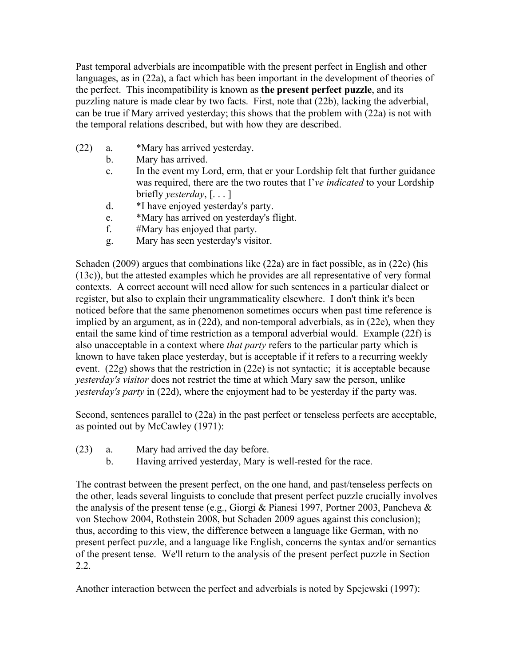Past temporal adverbials are incompatible with the present perfect in English and other languages, as in (22a), a fact which has been important in the development of theories of the perfect. This incompatibility is known as **the present perfect puzzle**, and its puzzling nature is made clear by two facts. First, note that (22b), lacking the adverbial, can be true if Mary arrived yesterday; this shows that the problem with (22a) is not with the temporal relations described, but with how they are described.

- (22) a. \*Mary has arrived yesterday.
	- b. Mary has arrived.
	- c. In the event my Lord, erm, that er your Lordship felt that further guidance was required, there are the two routes that I'*ve indicated* to your Lordship briefly *yesterday*, [. . . ]
	- d. \*I have enjoyed yesterday's party.
	- e. \*Mary has arrived on yesterday's flight.
	- f. #Mary has enjoyed that party.
	- g. Mary has seen yesterday's visitor.

Schaden (2009) argues that combinations like (22a) are in fact possible, as in (22c) (his (13c)), but the attested examples which he provides are all representative of very formal contexts. A correct account will need allow for such sentences in a particular dialect or register, but also to explain their ungrammaticality elsewhere. I don't think it's been noticed before that the same phenomenon sometimes occurs when past time reference is implied by an argument, as in (22d), and non-temporal adverbials, as in (22e), when they entail the same kind of time restriction as a temporal adverbial would. Example (22f) is also unacceptable in a context where *that party* refers to the particular party which is known to have taken place yesterday, but is acceptable if it refers to a recurring weekly event. (22g) shows that the restriction in (22e) is not syntactic; it is acceptable because *yesterday's visitor* does not restrict the time at which Mary saw the person, unlike *yesterday's party* in (22d), where the enjoyment had to be yesterday if the party was.

Second, sentences parallel to (22a) in the past perfect or tenseless perfects are acceptable, as pointed out by McCawley (1971):

- (23) a. Mary had arrived the day before.
	- b. Having arrived yesterday, Mary is well-rested for the race.

The contrast between the present perfect, on the one hand, and past/tenseless perfects on the other, leads several linguists to conclude that present perfect puzzle crucially involves the analysis of the present tense (e.g., Giorgi & Pianesi 1997, Portner 2003, Pancheva & von Stechow 2004, Rothstein 2008, but Schaden 2009 agues against this conclusion); thus, according to this view, the difference between a language like German, with no present perfect puzzle, and a language like English, concerns the syntax and/or semantics of the present tense. We'll return to the analysis of the present perfect puzzle in Section 2.2.

Another interaction between the perfect and adverbials is noted by Spejewski (1997):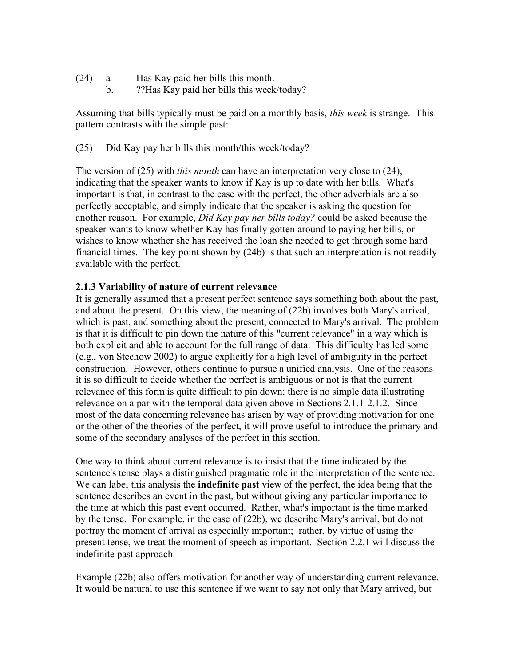- (24) a Has Kay paid her bills this month.
	- b. ??Has Kay paid her bills this week/today?

Assuming that bills typically must be paid on a monthly basis, *this week* is strange. This pattern contrasts with the simple past:

(25) Did Kay pay her bills this month/this week/today?

The version of (25) with *this month* can have an interpretation very close to (24), indicating that the speaker wants to know if Kay is up to date with her bills. What's important is that, in contrast to the case with the perfect, the other adverbials are also perfectly acceptable, and simply indicate that the speaker is asking the question for another reason. For example, *Did Kay pay her bills today?* could be asked because the speaker wants to know whether Kay has finally gotten around to paying her bills, or wishes to know whether she has received the loan she needed to get through some hard financial times. The key point shown by (24b) is that such an interpretation is not readily available with the perfect.

# **2.1.3 Variability of nature of current relevance**

It is generally assumed that a present perfect sentence says something both about the past, and about the present. On this view, the meaning of (22b) involves both Mary's arrival, which is past, and something about the present, connected to Mary's arrival. The problem is that it is difficult to pin down the nature of this "current relevance" in a way which is both explicit and able to account for the full range of data. This difficulty has led some (e.g., von Stechow 2002) to argue explicitly for a high level of ambiguity in the perfect construction. However, others continue to pursue a unified analysis. One of the reasons it is so difficult to decide whether the perfect is ambiguous or not is that the current relevance of this form is quite difficult to pin down; there is no simple data illustrating relevance on a par with the temporal data given above in Sections 2.1.1-2.1.2. Since most of the data concerning relevance has arisen by way of providing motivation for one or the other of the theories of the perfect, it will prove useful to introduce the primary and some of the secondary analyses of the perfect in this section.

One way to think about current relevance is to insist that the time indicated by the sentence's tense plays a distinguished pragmatic role in the interpretation of the sentence. We can label this analysis the **indefinite past** view of the perfect, the idea being that the sentence describes an event in the past, but without giving any particular importance to the time at which this past event occurred. Rather, what's important is the time marked by the tense. For example, in the case of (22b), we describe Mary's arrival, but do not portray the moment of arrival as especially important; rather, by virtue of using the present tense, we treat the moment of speech as important. Section 2.2.1 will discuss the indefinite past approach.

Example (22b) also offers motivation for another way of understanding current relevance. It would be natural to use this sentence if we want to say not only that Mary arrived, but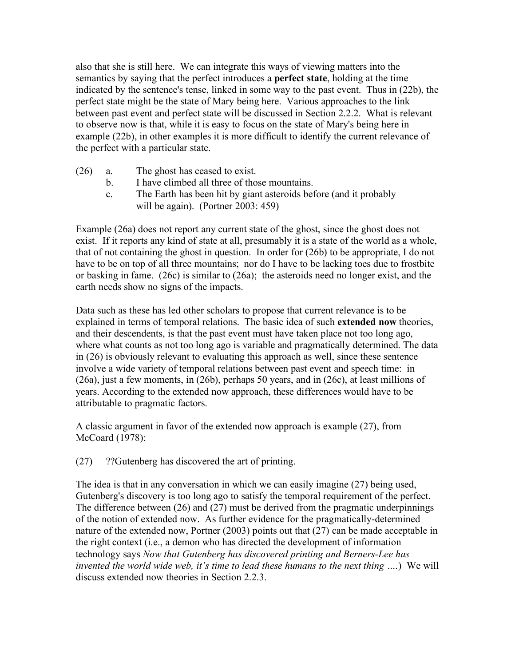also that she is still here. We can integrate this ways of viewing matters into the semantics by saying that the perfect introduces a **perfect state**, holding at the time indicated by the sentence's tense, linked in some way to the past event. Thus in (22b), the perfect state might be the state of Mary being here. Various approaches to the link between past event and perfect state will be discussed in Section 2.2.2. What is relevant to observe now is that, while it is easy to focus on the state of Mary's being here in example (22b), in other examples it is more difficult to identify the current relevance of the perfect with a particular state.

- (26) a. The ghost has ceased to exist.
	- b. I have climbed all three of those mountains.
	- c. The Earth has been hit by giant asteroids before (and it probably will be again). (Portner 2003: 459)

Example (26a) does not report any current state of the ghost, since the ghost does not exist. If it reports any kind of state at all, presumably it is a state of the world as a whole, that of not containing the ghost in question. In order for (26b) to be appropriate, I do not have to be on top of all three mountains; nor do I have to be lacking toes due to frostbite or basking in fame. (26c) is similar to (26a); the asteroids need no longer exist, and the earth needs show no signs of the impacts.

Data such as these has led other scholars to propose that current relevance is to be explained in terms of temporal relations. The basic idea of such **extended now** theories, and their descendents, is that the past event must have taken place not too long ago, where what counts as not too long ago is variable and pragmatically determined. The data in (26) is obviously relevant to evaluating this approach as well, since these sentence involve a wide variety of temporal relations between past event and speech time: in (26a), just a few moments, in (26b), perhaps 50 years, and in (26c), at least millions of years. According to the extended now approach, these differences would have to be attributable to pragmatic factors.

A classic argument in favor of the extended now approach is example (27), from McCoard (1978):

(27) ??Gutenberg has discovered the art of printing.

The idea is that in any conversation in which we can easily imagine (27) being used, Gutenberg's discovery is too long ago to satisfy the temporal requirement of the perfect. The difference between (26) and (27) must be derived from the pragmatic underpinnings of the notion of extended now. As further evidence for the pragmatically-determined nature of the extended now, Portner (2003) points out that (27) can be made acceptable in the right context (i.e., a demon who has directed the development of information technology says *Now that Gutenberg has discovered printing and Berners-Lee has invented the world wide web, it's time to lead these humans to the next thing ….*) We will discuss extended now theories in Section 2.2.3.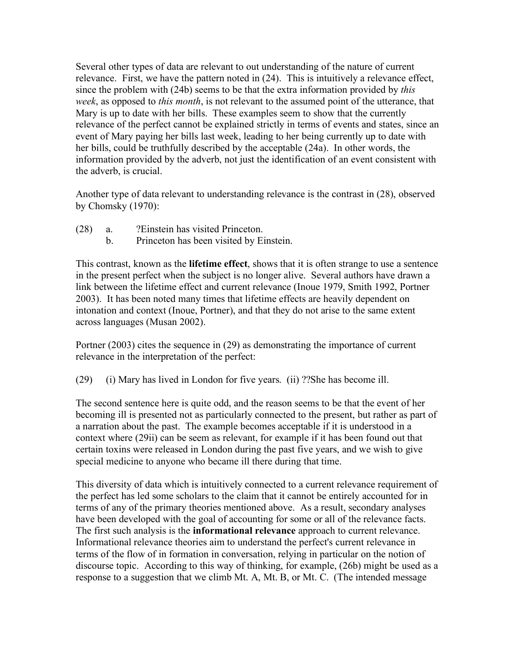Several other types of data are relevant to out understanding of the nature of current relevance. First, we have the pattern noted in (24). This is intuitively a relevance effect, since the problem with (24b) seems to be that the extra information provided by *this week*, as opposed to *this month*, is not relevant to the assumed point of the utterance, that Mary is up to date with her bills. These examples seem to show that the currently relevance of the perfect cannot be explained strictly in terms of events and states, since an event of Mary paying her bills last week, leading to her being currently up to date with her bills, could be truthfully described by the acceptable (24a). In other words, the information provided by the adverb, not just the identification of an event consistent with the adverb, is crucial.

Another type of data relevant to understanding relevance is the contrast in (28), observed by Chomsky (1970):

- (28) a. ?Einstein has visited Princeton.
	- b. Princeton has been visited by Einstein.

This contrast, known as the **lifetime effect**, shows that it is often strange to use a sentence in the present perfect when the subject is no longer alive. Several authors have drawn a link between the lifetime effect and current relevance (Inoue 1979, Smith 1992, Portner 2003). It has been noted many times that lifetime effects are heavily dependent on intonation and context (Inoue, Portner), and that they do not arise to the same extent across languages (Musan 2002).

Portner (2003) cites the sequence in (29) as demonstrating the importance of current relevance in the interpretation of the perfect:

(29) (i) Mary has lived in London for five years. (ii) ??She has become ill.

The second sentence here is quite odd, and the reason seems to be that the event of her becoming ill is presented not as particularly connected to the present, but rather as part of a narration about the past. The example becomes acceptable if it is understood in a context where (29ii) can be seem as relevant, for example if it has been found out that certain toxins were released in London during the past five years, and we wish to give special medicine to anyone who became ill there during that time.

This diversity of data which is intuitively connected to a current relevance requirement of the perfect has led some scholars to the claim that it cannot be entirely accounted for in terms of any of the primary theories mentioned above. As a result, secondary analyses have been developed with the goal of accounting for some or all of the relevance facts. The first such analysis is the **informational relevance** approach to current relevance. Informational relevance theories aim to understand the perfect's current relevance in terms of the flow of in formation in conversation, relying in particular on the notion of discourse topic. According to this way of thinking, for example, (26b) might be used as a response to a suggestion that we climb Mt. A, Mt. B, or Mt. C. (The intended message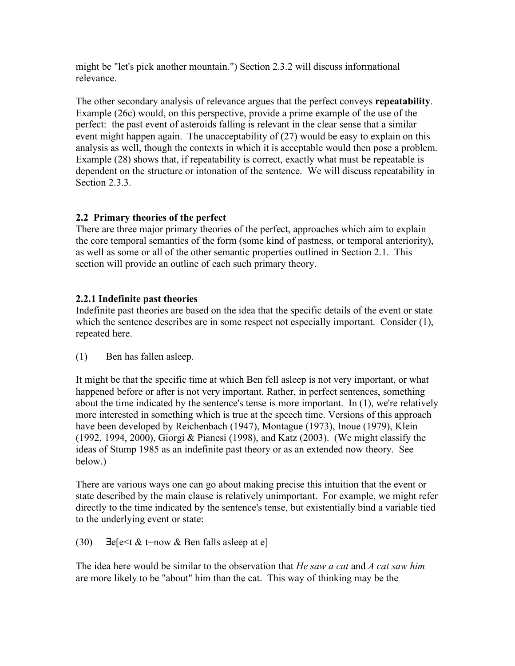might be "let's pick another mountain.") Section 2.3.2 will discuss informational relevance.

The other secondary analysis of relevance argues that the perfect conveys **repeatability**. Example (26c) would, on this perspective, provide a prime example of the use of the perfect: the past event of asteroids falling is relevant in the clear sense that a similar event might happen again. The unacceptability of (27) would be easy to explain on this analysis as well, though the contexts in which it is acceptable would then pose a problem. Example (28) shows that, if repeatability is correct, exactly what must be repeatable is dependent on the structure or intonation of the sentence. We will discuss repeatability in Section 2.3.3.

# **2.2 Primary theories of the perfect**

There are three major primary theories of the perfect, approaches which aim to explain the core temporal semantics of the form (some kind of pastness, or temporal anteriority), as well as some or all of the other semantic properties outlined in Section 2.1. This section will provide an outline of each such primary theory.

# **2.2.1 Indefinite past theories**

Indefinite past theories are based on the idea that the specific details of the event or state which the sentence describes are in some respect not especially important. Consider (1), repeated here.

(1) Ben has fallen asleep.

It might be that the specific time at which Ben fell asleep is not very important, or what happened before or after is not very important. Rather, in perfect sentences, something about the time indicated by the sentence's tense is more important. In (1), we're relatively more interested in something which is true at the speech time. Versions of this approach have been developed by Reichenbach (1947), Montague (1973), Inoue (1979), Klein (1992, 1994, 2000), Giorgi & Pianesi (1998), and Katz (2003). (We might classify the ideas of Stump 1985 as an indefinite past theory or as an extended now theory. See below.)

There are various ways one can go about making precise this intuition that the event or state described by the main clause is relatively unimportant. For example, we might refer directly to the time indicated by the sentence's tense, but existentially bind a variable tied to the underlying event or state:

(30)  $\exists e[e \leq t \& t = now \& \text{Ben falls asleep at } e]$ 

The idea here would be similar to the observation that *He saw a cat* and *A cat saw him* are more likely to be "about" him than the cat. This way of thinking may be the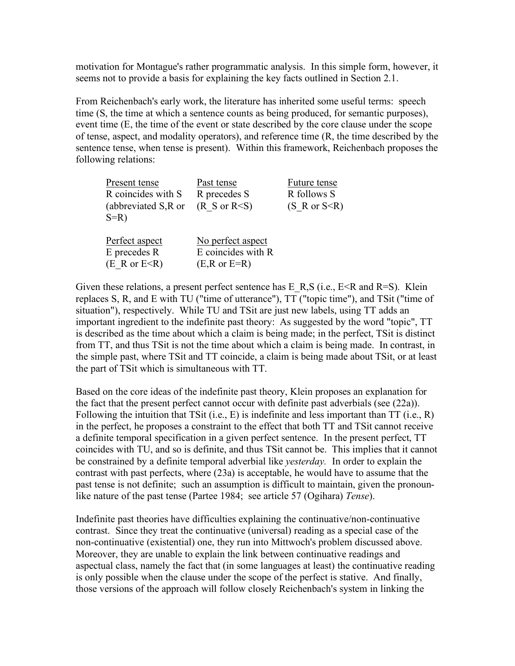motivation for Montague's rather programmatic analysis. In this simple form, however, it seems not to provide a basis for explaining the key facts outlined in Section 2.1.

From Reichenbach's early work, the literature has inherited some useful terms: speech time (S, the time at which a sentence counts as being produced, for semantic purposes), event time (E, the time of the event or state described by the core clause under the scope of tense, aspect, and modality operators), and reference time (R, the time described by the sentence tense, when tense is present). Within this framework, Reichenbach proposes the following relations:

| Present tense<br>R coincides with S<br>(abbreviated S,R or<br>$S=R$ ) | Past tense<br>R precedes S<br>$(R \text{ S or } R \leq S)$         | Future tense<br>R follows S<br>$(S \ R \ or \ S \le R)$ |
|-----------------------------------------------------------------------|--------------------------------------------------------------------|---------------------------------------------------------|
| Perfect aspect<br>E precedes R<br>$(E \ R \ or \ E \le R)$            | No perfect aspect<br>E coincides with R<br>$(E,R \text{ or } E=R)$ |                                                         |

Given these relations, a present perfect sentence has  $E_R$ ,  $R$ ,  $S$  (i.e.,  $E < R$  and  $R=S$ ). Klein replaces S, R, and E with TU ("time of utterance"), TT ("topic time"), and TSit ("time of situation"), respectively. While TU and TSit are just new labels, using TT adds an important ingredient to the indefinite past theory: As suggested by the word "topic", TT is described as the time about which a claim is being made; in the perfect, TSit is distinct from TT, and thus TSit is not the time about which a claim is being made. In contrast, in the simple past, where TSit and TT coincide, a claim is being made about TSit, or at least the part of TSit which is simultaneous with TT.

Based on the core ideas of the indefinite past theory, Klein proposes an explanation for the fact that the present perfect cannot occur with definite past adverbials (see (22a)). Following the intuition that TSit  $(i.e., E)$  is indefinite and less important than TT  $(i.e., R)$ in the perfect, he proposes a constraint to the effect that both TT and TSit cannot receive a definite temporal specification in a given perfect sentence. In the present perfect, TT coincides with TU, and so is definite, and thus TSit cannot be. This implies that it cannot be constrained by a definite temporal adverbial like *yesterday.* In order to explain the contrast with past perfects, where (23a) is acceptable, he would have to assume that the past tense is not definite; such an assumption is difficult to maintain, given the pronounlike nature of the past tense (Partee 1984; see article 57 (Ogihara) *Tense*).

Indefinite past theories have difficulties explaining the continuative/non-continuative contrast. Since they treat the continuative (universal) reading as a special case of the non-continuative (existential) one, they run into Mittwoch's problem discussed above. Moreover, they are unable to explain the link between continuative readings and aspectual class, namely the fact that (in some languages at least) the continuative reading is only possible when the clause under the scope of the perfect is stative. And finally, those versions of the approach will follow closely Reichenbach's system in linking the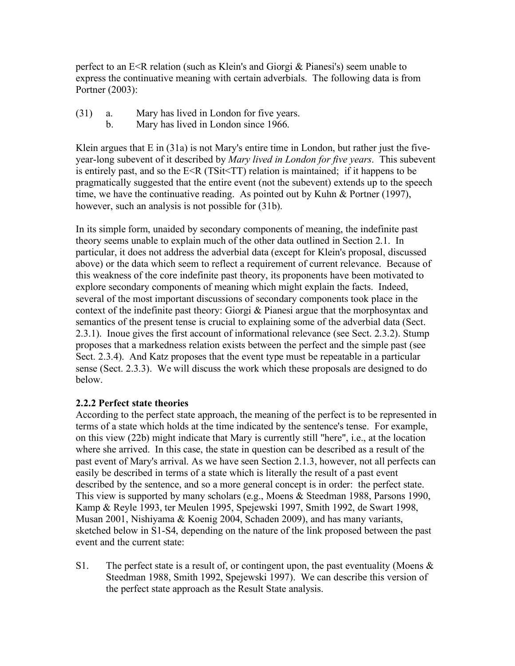perfect to an  $E < R$  relation (such as Klein's and Giorgi & Pianesi's) seem unable to express the continuative meaning with certain adverbials. The following data is from Portner (2003):

- (31) a. Mary has lived in London for five years.
	- b. Mary has lived in London since 1966.

Klein argues that E in (31a) is not Mary's entire time in London, but rather just the fiveyear-long subevent of it described by *Mary lived in London for five years*. This subevent is entirely past, and so the  $E \le R$  (TSit $\le T$ ) relation is maintained; if it happens to be pragmatically suggested that the entire event (not the subevent) extends up to the speech time, we have the continuative reading. As pointed out by Kuhn & Portner (1997), however, such an analysis is not possible for (31b).

In its simple form, unaided by secondary components of meaning, the indefinite past theory seems unable to explain much of the other data outlined in Section 2.1. In particular, it does not address the adverbial data (except for Klein's proposal, discussed above) or the data which seem to reflect a requirement of current relevance. Because of this weakness of the core indefinite past theory, its proponents have been motivated to explore secondary components of meaning which might explain the facts. Indeed, several of the most important discussions of secondary components took place in the context of the indefinite past theory: Giorgi & Pianesi argue that the morphosyntax and semantics of the present tense is crucial to explaining some of the adverbial data (Sect. 2.3.1). Inoue gives the first account of informational relevance (see Sect. 2.3.2). Stump proposes that a markedness relation exists between the perfect and the simple past (see Sect. 2.3.4). And Katz proposes that the event type must be repeatable in a particular sense (Sect. 2.3.3). We will discuss the work which these proposals are designed to do below.

### **2.2.2 Perfect state theories**

According to the perfect state approach, the meaning of the perfect is to be represented in terms of a state which holds at the time indicated by the sentence's tense. For example, on this view (22b) might indicate that Mary is currently still "here", i.e., at the location where she arrived. In this case, the state in question can be described as a result of the past event of Mary's arrival. As we have seen Section 2.1.3, however, not all perfects can easily be described in terms of a state which is literally the result of a past event described by the sentence, and so a more general concept is in order: the perfect state. This view is supported by many scholars (e.g., Moens & Steedman 1988, Parsons 1990, Kamp & Reyle 1993, ter Meulen 1995, Spejewski 1997, Smith 1992, de Swart 1998, Musan 2001, Nishiyama & Koenig 2004, Schaden 2009), and has many variants, sketched below in S1-S4, depending on the nature of the link proposed between the past event and the current state:

S1. The perfect state is a result of, or contingent upon, the past eventuality (Moens  $\&$ Steedman 1988, Smith 1992, Spejewski 1997). We can describe this version of the perfect state approach as the Result State analysis.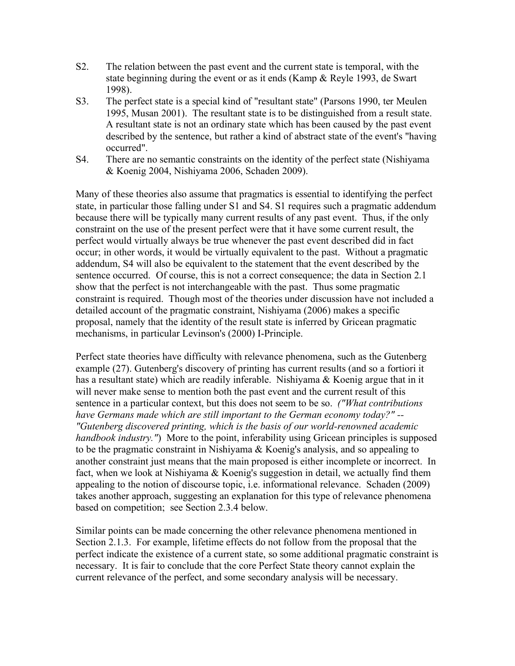- S2. The relation between the past event and the current state is temporal, with the state beginning during the event or as it ends (Kamp & Reyle 1993, de Swart 1998).
- S3. The perfect state is a special kind of "resultant state" (Parsons 1990, ter Meulen 1995, Musan 2001). The resultant state is to be distinguished from a result state. A resultant state is not an ordinary state which has been caused by the past event described by the sentence, but rather a kind of abstract state of the event's "having occurred".
- S4. There are no semantic constraints on the identity of the perfect state (Nishiyama & Koenig 2004, Nishiyama 2006, Schaden 2009).

Many of these theories also assume that pragmatics is essential to identifying the perfect state, in particular those falling under S1 and S4. S1 requires such a pragmatic addendum because there will be typically many current results of any past event. Thus, if the only constraint on the use of the present perfect were that it have some current result, the perfect would virtually always be true whenever the past event described did in fact occur; in other words, it would be virtually equivalent to the past. Without a pragmatic addendum, S4 will also be equivalent to the statement that the event described by the sentence occurred. Of course, this is not a correct consequence; the data in Section 2.1 show that the perfect is not interchangeable with the past. Thus some pragmatic constraint is required. Though most of the theories under discussion have not included a detailed account of the pragmatic constraint, Nishiyama (2006) makes a specific proposal, namely that the identity of the result state is inferred by Gricean pragmatic mechanisms, in particular Levinson's (2000) I-Principle.

Perfect state theories have difficulty with relevance phenomena, such as the Gutenberg example (27). Gutenberg's discovery of printing has current results (and so a fortiori it has a resultant state) which are readily inferable. Nishiyama & Koenig argue that in it will never make sense to mention both the past event and the current result of this sentence in a particular context, but this does not seem to be so. *("What contributions have Germans made which are still important to the German economy today?" -- "Gutenberg discovered printing, which is the basis of our world-renowned academic handbook industry."*) More to the point, inferability using Gricean principles is supposed to be the pragmatic constraint in Nishiyama & Koenig's analysis, and so appealing to another constraint just means that the main proposed is either incomplete or incorrect. In fact, when we look at Nishiyama & Koenig's suggestion in detail, we actually find them appealing to the notion of discourse topic, i.e. informational relevance. Schaden (2009) takes another approach, suggesting an explanation for this type of relevance phenomena based on competition; see Section 2.3.4 below.

Similar points can be made concerning the other relevance phenomena mentioned in Section 2.1.3. For example, lifetime effects do not follow from the proposal that the perfect indicate the existence of a current state, so some additional pragmatic constraint is necessary. It is fair to conclude that the core Perfect State theory cannot explain the current relevance of the perfect, and some secondary analysis will be necessary.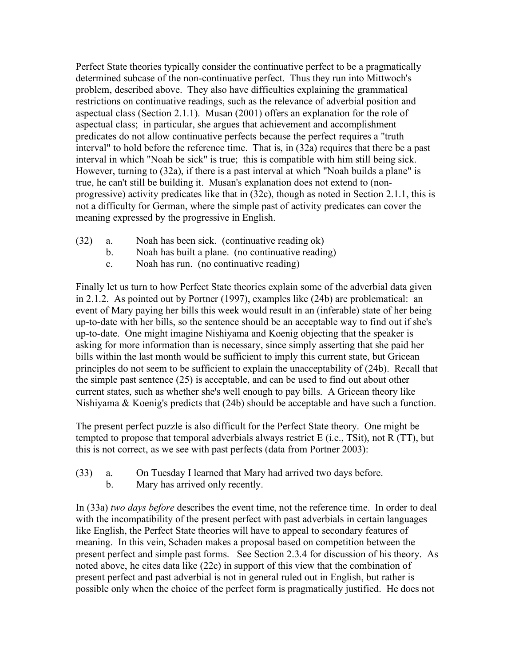Perfect State theories typically consider the continuative perfect to be a pragmatically determined subcase of the non-continuative perfect. Thus they run into Mittwoch's problem, described above. They also have difficulties explaining the grammatical restrictions on continuative readings, such as the relevance of adverbial position and aspectual class (Section 2.1.1). Musan (2001) offers an explanation for the role of aspectual class; in particular, she argues that achievement and accomplishment predicates do not allow continuative perfects because the perfect requires a "truth interval" to hold before the reference time. That is, in (32a) requires that there be a past interval in which "Noah be sick" is true; this is compatible with him still being sick. However, turning to (32a), if there is a past interval at which "Noah builds a plane" is true, he can't still be building it. Musan's explanation does not extend to (nonprogressive) activity predicates like that in (32c), though as noted in Section 2.1.1, this is not a difficulty for German, where the simple past of activity predicates can cover the meaning expressed by the progressive in English.

- (32) a. Noah has been sick. (continuative reading ok)
	- b. Noah has built a plane. (no continuative reading)
	- c. Noah has run. (no continuative reading)

Finally let us turn to how Perfect State theories explain some of the adverbial data given in 2.1.2. As pointed out by Portner (1997), examples like (24b) are problematical: an event of Mary paying her bills this week would result in an (inferable) state of her being up-to-date with her bills, so the sentence should be an acceptable way to find out if she's up-to-date. One might imagine Nishiyama and Koenig objecting that the speaker is asking for more information than is necessary, since simply asserting that she paid her bills within the last month would be sufficient to imply this current state, but Gricean principles do not seem to be sufficient to explain the unacceptability of (24b). Recall that the simple past sentence (25) is acceptable, and can be used to find out about other current states, such as whether she's well enough to pay bills. A Gricean theory like Nishiyama & Koenig's predicts that (24b) should be acceptable and have such a function.

The present perfect puzzle is also difficult for the Perfect State theory. One might be tempted to propose that temporal adverbials always restrict E (i.e., TSit), not R (TT), but this is not correct, as we see with past perfects (data from Portner 2003):

- (33) a. On Tuesday I learned that Mary had arrived two days before.
	- b. Mary has arrived only recently.

In (33a) *two days before* describes the event time, not the reference time. In order to deal with the incompatibility of the present perfect with past adverbials in certain languages like English, the Perfect State theories will have to appeal to secondary features of meaning. In this vein, Schaden makes a proposal based on competition between the present perfect and simple past forms. See Section 2.3.4 for discussion of his theory. As noted above, he cites data like (22c) in support of this view that the combination of present perfect and past adverbial is not in general ruled out in English, but rather is possible only when the choice of the perfect form is pragmatically justified. He does not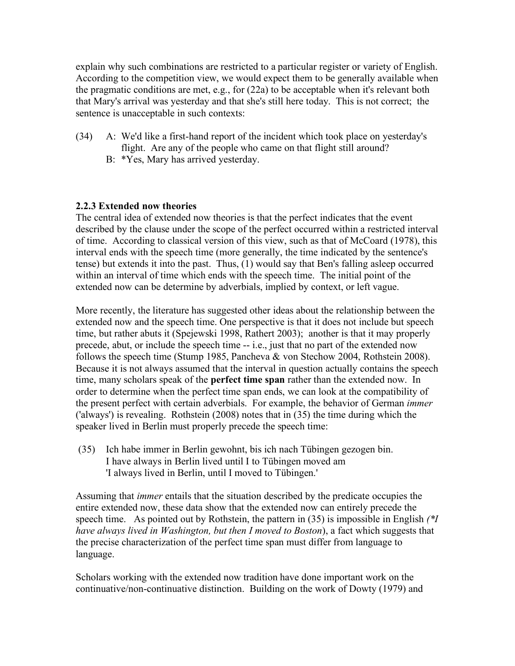explain why such combinations are restricted to a particular register or variety of English. According to the competition view, we would expect them to be generally available when the pragmatic conditions are met, e.g., for (22a) to be acceptable when it's relevant both that Mary's arrival was yesterday and that she's still here today. This is not correct; the sentence is unacceptable in such contexts:

- (34) A: We'd like a first-hand report of the incident which took place on yesterday's flight. Are any of the people who came on that flight still around?
	- B: \*Yes, Mary has arrived yesterday.

### **2.2.3 Extended now theories**

The central idea of extended now theories is that the perfect indicates that the event described by the clause under the scope of the perfect occurred within a restricted interval of time. According to classical version of this view, such as that of McCoard (1978), this interval ends with the speech time (more generally, the time indicated by the sentence's tense) but extends it into the past. Thus, (1) would say that Ben's falling asleep occurred within an interval of time which ends with the speech time. The initial point of the extended now can be determine by adverbials, implied by context, or left vague.

More recently, the literature has suggested other ideas about the relationship between the extended now and the speech time. One perspective is that it does not include but speech time, but rather abuts it (Spejewski 1998, Rathert 2003); another is that it may properly precede, abut, or include the speech time -- i.e., just that no part of the extended now follows the speech time (Stump 1985, Pancheva & von Stechow 2004, Rothstein 2008). Because it is not always assumed that the interval in question actually contains the speech time, many scholars speak of the **perfect time span** rather than the extended now. In order to determine when the perfect time span ends, we can look at the compatibility of the present perfect with certain adverbials. For example, the behavior of German *immer* ('always') is revealing. Rothstein (2008) notes that in (35) the time during which the speaker lived in Berlin must properly precede the speech time:

(35) Ich habe immer in Berlin gewohnt, bis ich nach Tübingen gezogen bin. I have always in Berlin lived until I to Tübingen moved am 'I always lived in Berlin, until I moved to Tübingen.'

Assuming that *immer* entails that the situation described by the predicate occupies the entire extended now, these data show that the extended now can entirely precede the speech time. As pointed out by Rothstein, the pattern in (35) is impossible in English *(\*I have always lived in Washington, but then I moved to Boston*), a fact which suggests that the precise characterization of the perfect time span must differ from language to language.

Scholars working with the extended now tradition have done important work on the continuative/non-continuative distinction. Building on the work of Dowty (1979) and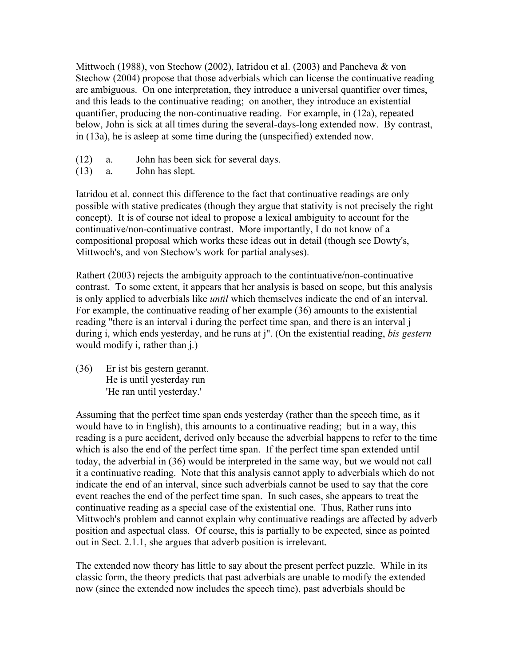Mittwoch (1988), von Stechow (2002), Iatridou et al. (2003) and Pancheva  $\&$  von Stechow (2004) propose that those adverbials which can license the continuative reading are ambiguous. On one interpretation, they introduce a universal quantifier over times, and this leads to the continuative reading; on another, they introduce an existential quantifier, producing the non-continuative reading. For example, in (12a), repeated below, John is sick at all times during the several-days-long extended now. By contrast, in (13a), he is asleep at some time during the (unspecified) extended now.

- (12) a. John has been sick for several days.
- (13) a. John has slept.

Iatridou et al. connect this difference to the fact that continuative readings are only possible with stative predicates (though they argue that stativity is not precisely the right concept). It is of course not ideal to propose a lexical ambiguity to account for the continuative/non-continuative contrast. More importantly, I do not know of a compositional proposal which works these ideas out in detail (though see Dowty's, Mittwoch's, and von Stechow's work for partial analyses).

Rathert (2003) rejects the ambiguity approach to the contintuative/non-continuative contrast. To some extent, it appears that her analysis is based on scope, but this analysis is only applied to adverbials like *until* which themselves indicate the end of an interval. For example, the continuative reading of her example (36) amounts to the existential reading "there is an interval i during the perfect time span, and there is an interval j during i, which ends yesterday, and he runs at j". (On the existential reading, *bis gestern* would modify i, rather than j.)

(36) Er ist bis gestern gerannt. He is until yesterday run 'He ran until yesterday.'

Assuming that the perfect time span ends yesterday (rather than the speech time, as it would have to in English), this amounts to a continuative reading; but in a way, this reading is a pure accident, derived only because the adverbial happens to refer to the time which is also the end of the perfect time span. If the perfect time span extended until today, the adverbial in (36) would be interpreted in the same way, but we would not call it a continuative reading. Note that this analysis cannot apply to adverbials which do not indicate the end of an interval, since such adverbials cannot be used to say that the core event reaches the end of the perfect time span. In such cases, she appears to treat the continuative reading as a special case of the existential one. Thus, Rather runs into Mittwoch's problem and cannot explain why continuative readings are affected by adverb position and aspectual class. Of course, this is partially to be expected, since as pointed out in Sect. 2.1.1, she argues that adverb position is irrelevant.

The extended now theory has little to say about the present perfect puzzle. While in its classic form, the theory predicts that past adverbials are unable to modify the extended now (since the extended now includes the speech time), past adverbials should be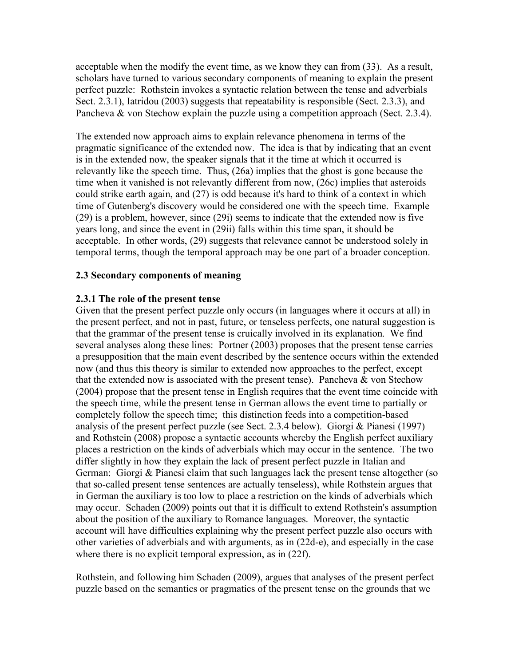acceptable when the modify the event time, as we know they can from (33). As a result, scholars have turned to various secondary components of meaning to explain the present perfect puzzle: Rothstein invokes a syntactic relation between the tense and adverbials Sect. 2.3.1), Iatridou (2003) suggests that repeatability is responsible (Sect. 2.3.3), and Pancheva & von Stechow explain the puzzle using a competition approach (Sect. 2.3.4).

The extended now approach aims to explain relevance phenomena in terms of the pragmatic significance of the extended now. The idea is that by indicating that an event is in the extended now, the speaker signals that it the time at which it occurred is relevantly like the speech time. Thus, (26a) implies that the ghost is gone because the time when it vanished is not relevantly different from now, (26c) implies that asteroids could strike earth again, and (27) is odd because it's hard to think of a context in which time of Gutenberg's discovery would be considered one with the speech time. Example (29) is a problem, however, since (29i) seems to indicate that the extended now is five years long, and since the event in (29ii) falls within this time span, it should be acceptable. In other words, (29) suggests that relevance cannot be understood solely in temporal terms, though the temporal approach may be one part of a broader conception.

#### **2.3 Secondary components of meaning**

#### **2.3.1 The role of the present tense**

Given that the present perfect puzzle only occurs (in languages where it occurs at all) in the present perfect, and not in past, future, or tenseless perfects, one natural suggestion is that the grammar of the present tense is cruically involved in its explanation. We find several analyses along these lines: Portner (2003) proposes that the present tense carries a presupposition that the main event described by the sentence occurs within the extended now (and thus this theory is similar to extended now approaches to the perfect, except that the extended now is associated with the present tense). Pancheva  $\&$  von Stechow (2004) propose that the present tense in English requires that the event time coincide with the speech time, while the present tense in German allows the event time to partially or completely follow the speech time; this distinction feeds into a competition-based analysis of the present perfect puzzle (see Sect. 2.3.4 below). Giorgi & Pianesi (1997) and Rothstein (2008) propose a syntactic accounts whereby the English perfect auxiliary places a restriction on the kinds of adverbials which may occur in the sentence. The two differ slightly in how they explain the lack of present perfect puzzle in Italian and German: Giorgi & Pianesi claim that such languages lack the present tense altogether (so that so-called present tense sentences are actually tenseless), while Rothstein argues that in German the auxiliary is too low to place a restriction on the kinds of adverbials which may occur. Schaden (2009) points out that it is difficult to extend Rothstein's assumption about the position of the auxiliary to Romance languages. Moreover, the syntactic account will have difficulties explaining why the present perfect puzzle also occurs with other varieties of adverbials and with arguments, as in (22d-e), and especially in the case where there is no explicit temporal expression, as in (22f).

Rothstein, and following him Schaden (2009), argues that analyses of the present perfect puzzle based on the semantics or pragmatics of the present tense on the grounds that we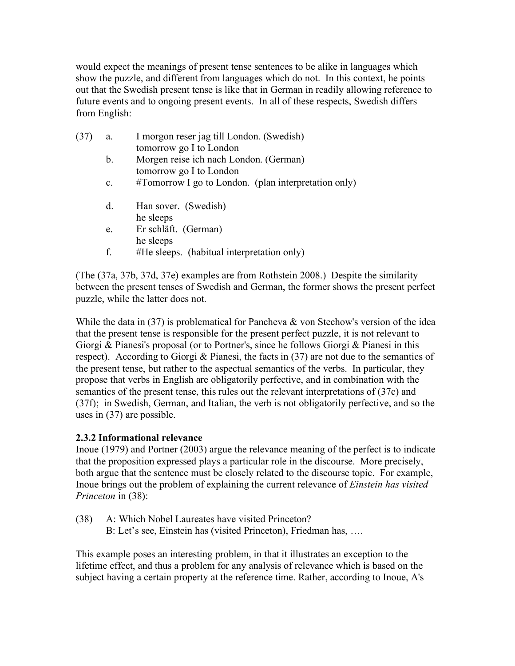would expect the meanings of present tense sentences to be alike in languages which show the puzzle, and different from languages which do not. In this context, he points out that the Swedish present tense is like that in German in readily allowing reference to future events and to ongoing present events. In all of these respects, Swedish differs from English:

| (37) | a.             | I morgon reser jag till London. (Swedish)<br>tomorrow go I to London |
|------|----------------|----------------------------------------------------------------------|
|      | b.             | Morgen reise ich nach London. (German)<br>tomorrow go I to London    |
|      | $\mathbf{c}$ . | #Tomorrow I go to London. (plan interpretation only)                 |
|      | d.             | Han sover. (Swedish)<br>he sleeps                                    |
|      | e.             | Er schläft. (German)<br>he sleeps                                    |
|      | f.             | #He sleeps. (habitual interpretation only)                           |

(The (37a, 37b, 37d, 37e) examples are from Rothstein 2008.) Despite the similarity between the present tenses of Swedish and German, the former shows the present perfect puzzle, while the latter does not.

While the data in (37) is problematical for Pancheva  $\&$  von Stechow's version of the idea that the present tense is responsible for the present perfect puzzle, it is not relevant to Giorgi & Pianesi's proposal (or to Portner's, since he follows Giorgi & Pianesi in this respect). According to Giorgi & Pianesi, the facts in (37) are not due to the semantics of the present tense, but rather to the aspectual semantics of the verbs. In particular, they propose that verbs in English are obligatorily perfective, and in combination with the semantics of the present tense, this rules out the relevant interpretations of (37c) and (37f); in Swedish, German, and Italian, the verb is not obligatorily perfective, and so the uses in (37) are possible.

### **2.3.2 Informational relevance**

Inoue (1979) and Portner (2003) argue the relevance meaning of the perfect is to indicate that the proposition expressed plays a particular role in the discourse. More precisely, both argue that the sentence must be closely related to the discourse topic. For example, Inoue brings out the problem of explaining the current relevance of *Einstein has visited Princeton* in (38):

(38) A: Which Nobel Laureates have visited Princeton? B: Let's see, Einstein has (visited Princeton), Friedman has, ….

This example poses an interesting problem, in that it illustrates an exception to the lifetime effect, and thus a problem for any analysis of relevance which is based on the subject having a certain property at the reference time. Rather, according to Inoue, A's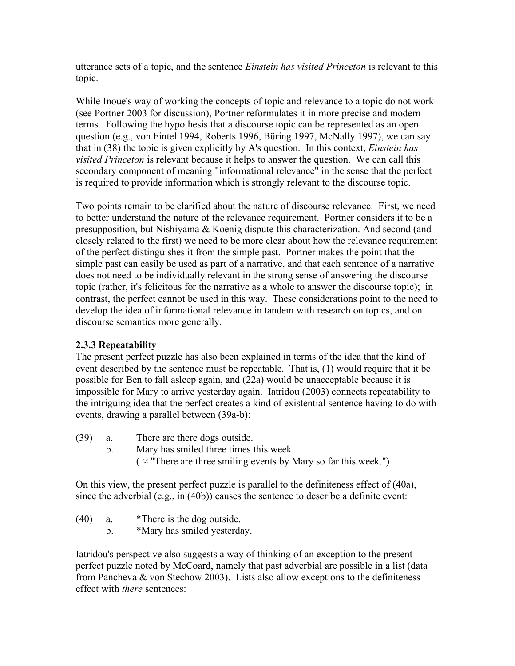utterance sets of a topic, and the sentence *Einstein has visited Princeton* is relevant to this topic.

While Inoue's way of working the concepts of topic and relevance to a topic do not work (see Portner 2003 for discussion), Portner reformulates it in more precise and modern terms. Following the hypothesis that a discourse topic can be represented as an open question (e.g., von Fintel 1994, Roberts 1996, Büring 1997, McNally 1997), we can say that in (38) the topic is given explicitly by A's question. In this context, *Einstein has visited Princeton* is relevant because it helps to answer the question. We can call this secondary component of meaning "informational relevance" in the sense that the perfect is required to provide information which is strongly relevant to the discourse topic.

Two points remain to be clarified about the nature of discourse relevance. First, we need to better understand the nature of the relevance requirement. Portner considers it to be a presupposition, but Nishiyama & Koenig dispute this characterization. And second (and closely related to the first) we need to be more clear about how the relevance requirement of the perfect distinguishes it from the simple past. Portner makes the point that the simple past can easily be used as part of a narrative, and that each sentence of a narrative does not need to be individually relevant in the strong sense of answering the discourse topic (rather, it's felicitous for the narrative as a whole to answer the discourse topic); in contrast, the perfect cannot be used in this way. These considerations point to the need to develop the idea of informational relevance in tandem with research on topics, and on discourse semantics more generally.

### **2.3.3 Repeatability**

The present perfect puzzle has also been explained in terms of the idea that the kind of event described by the sentence must be repeatable. That is, (1) would require that it be possible for Ben to fall asleep again, and (22a) would be unacceptable because it is impossible for Mary to arrive yesterday again. Iatridou (2003) connects repeatability to the intriguing idea that the perfect creates a kind of existential sentence having to do with events, drawing a parallel between (39a-b):

- (39) a. There are there dogs outside.
	- b. Mary has smiled three times this week.
		- $(z^{\text{th}})$  = "There are three smiling events by Mary so far this week.")

On this view, the present perfect puzzle is parallel to the definiteness effect of (40a), since the adverbial (e.g., in (40b)) causes the sentence to describe a definite event:

- (40) a. \*There is the dog outside.
	- b. \*Mary has smiled yesterday.

Iatridou's perspective also suggests a way of thinking of an exception to the present perfect puzzle noted by McCoard, namely that past adverbial are possible in a list (data from Pancheva  $\&$  von Stechow 2003). Lists also allow exceptions to the definiteness effect with *there* sentences: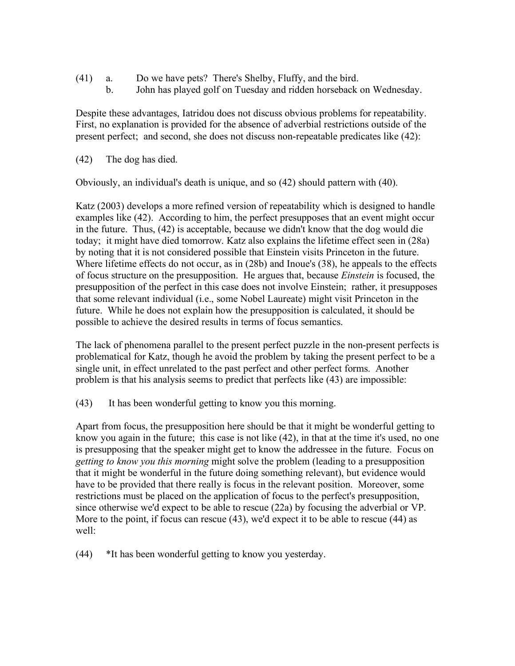- (41) a. Do we have pets? There's Shelby, Fluffy, and the bird.
	- b. John has played golf on Tuesday and ridden horseback on Wednesday.

Despite these advantages, Iatridou does not discuss obvious problems for repeatability. First, no explanation is provided for the absence of adverbial restrictions outside of the present perfect; and second, she does not discuss non-repeatable predicates like (42):

(42) The dog has died.

Obviously, an individual's death is unique, and so (42) should pattern with (40).

Katz (2003) develops a more refined version of repeatability which is designed to handle examples like (42). According to him, the perfect presupposes that an event might occur in the future. Thus, (42) is acceptable, because we didn't know that the dog would die today; it might have died tomorrow. Katz also explains the lifetime effect seen in (28a) by noting that it is not considered possible that Einstein visits Princeton in the future. Where lifetime effects do not occur, as in (28b) and Inoue's (38), he appeals to the effects of focus structure on the presupposition. He argues that, because *Einstein* is focused, the presupposition of the perfect in this case does not involve Einstein; rather, it presupposes that some relevant individual (i.e., some Nobel Laureate) might visit Princeton in the future. While he does not explain how the presupposition is calculated, it should be possible to achieve the desired results in terms of focus semantics.

The lack of phenomena parallel to the present perfect puzzle in the non-present perfects is problematical for Katz, though he avoid the problem by taking the present perfect to be a single unit, in effect unrelated to the past perfect and other perfect forms. Another problem is that his analysis seems to predict that perfects like (43) are impossible:

(43) It has been wonderful getting to know you this morning.

Apart from focus, the presupposition here should be that it might be wonderful getting to know you again in the future; this case is not like (42), in that at the time it's used, no one is presupposing that the speaker might get to know the addressee in the future. Focus on *getting to know you this morning* might solve the problem (leading to a presupposition that it might be wonderful in the future doing something relevant), but evidence would have to be provided that there really is focus in the relevant position. Moreover, some restrictions must be placed on the application of focus to the perfect's presupposition, since otherwise we'd expect to be able to rescue (22a) by focusing the adverbial or VP. More to the point, if focus can rescue (43), we'd expect it to be able to rescue (44) as well:

(44) \*It has been wonderful getting to know you yesterday.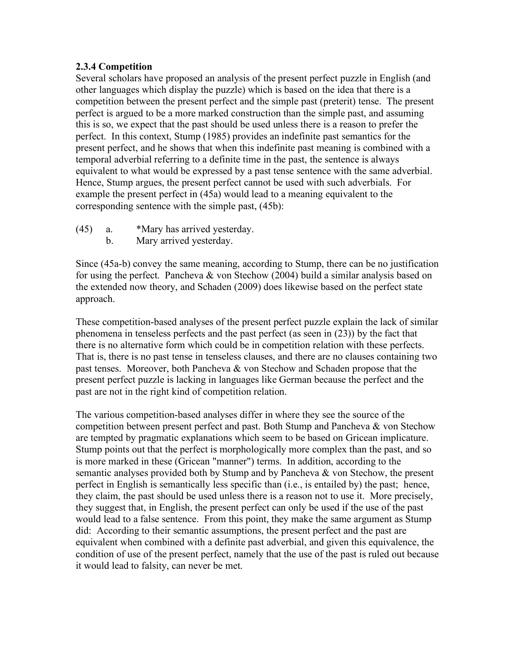### **2.3.4 Competition**

Several scholars have proposed an analysis of the present perfect puzzle in English (and other languages which display the puzzle) which is based on the idea that there is a competition between the present perfect and the simple past (preterit) tense. The present perfect is argued to be a more marked construction than the simple past, and assuming this is so, we expect that the past should be used unless there is a reason to prefer the perfect. In this context, Stump (1985) provides an indefinite past semantics for the present perfect, and he shows that when this indefinite past meaning is combined with a temporal adverbial referring to a definite time in the past, the sentence is always equivalent to what would be expressed by a past tense sentence with the same adverbial. Hence, Stump argues, the present perfect cannot be used with such adverbials. For example the present perfect in (45a) would lead to a meaning equivalent to the corresponding sentence with the simple past, (45b):

- (45) a. \*Mary has arrived yesterday.
	- b. Mary arrived yesterday.

Since (45a-b) convey the same meaning, according to Stump, there can be no justification for using the perfect. Pancheva & von Stechow (2004) build a similar analysis based on the extended now theory, and Schaden (2009) does likewise based on the perfect state approach.

These competition-based analyses of the present perfect puzzle explain the lack of similar phenomena in tenseless perfects and the past perfect (as seen in (23)) by the fact that there is no alternative form which could be in competition relation with these perfects. That is, there is no past tense in tenseless clauses, and there are no clauses containing two past tenses. Moreover, both Pancheva & von Stechow and Schaden propose that the present perfect puzzle is lacking in languages like German because the perfect and the past are not in the right kind of competition relation.

The various competition-based analyses differ in where they see the source of the competition between present perfect and past. Both Stump and Pancheva & von Stechow are tempted by pragmatic explanations which seem to be based on Gricean implicature. Stump points out that the perfect is morphologically more complex than the past, and so is more marked in these (Gricean "manner") terms. In addition, according to the semantic analyses provided both by Stump and by Pancheva & von Stechow, the present perfect in English is semantically less specific than (i.e., is entailed by) the past; hence, they claim, the past should be used unless there is a reason not to use it. More precisely, they suggest that, in English, the present perfect can only be used if the use of the past would lead to a false sentence. From this point, they make the same argument as Stump did: According to their semantic assumptions, the present perfect and the past are equivalent when combined with a definite past adverbial, and given this equivalence, the condition of use of the present perfect, namely that the use of the past is ruled out because it would lead to falsity, can never be met.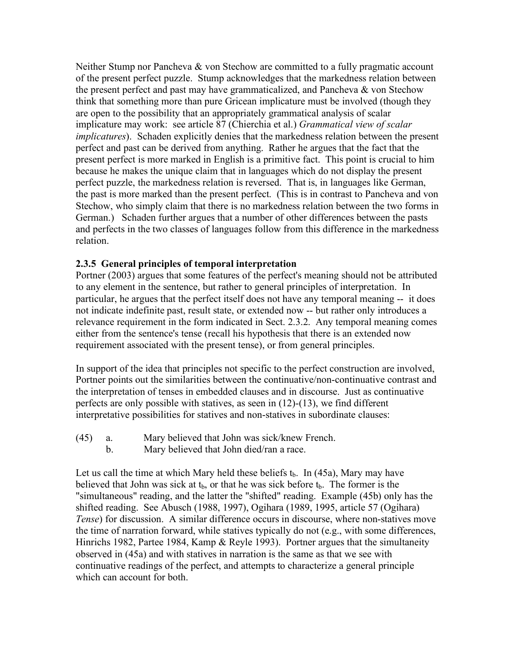Neither Stump nor Pancheva & von Stechow are committed to a fully pragmatic account of the present perfect puzzle. Stump acknowledges that the markedness relation between the present perfect and past may have grammaticalized, and Pancheva & von Stechow think that something more than pure Gricean implicature must be involved (though they are open to the possibility that an appropriately grammatical analysis of scalar implicature may work: see article 87 (Chierchia et al.) *Grammatical view of scalar implicatures*). Schaden explicitly denies that the markedness relation between the present perfect and past can be derived from anything. Rather he argues that the fact that the present perfect is more marked in English is a primitive fact. This point is crucial to him because he makes the unique claim that in languages which do not display the present perfect puzzle, the markedness relation is reversed. That is, in languages like German, the past is more marked than the present perfect. (This is in contrast to Pancheva and von Stechow, who simply claim that there is no markedness relation between the two forms in German.) Schaden further argues that a number of other differences between the pasts and perfects in the two classes of languages follow from this difference in the markedness relation.

#### **2.3.5 General principles of temporal interpretation**

Portner (2003) argues that some features of the perfect's meaning should not be attributed to any element in the sentence, but rather to general principles of interpretation. In particular, he argues that the perfect itself does not have any temporal meaning -- it does not indicate indefinite past, result state, or extended now -- but rather only introduces a relevance requirement in the form indicated in Sect. 2.3.2. Any temporal meaning comes either from the sentence's tense (recall his hypothesis that there is an extended now requirement associated with the present tense), or from general principles.

In support of the idea that principles not specific to the perfect construction are involved, Portner points out the similarities between the continuative/non-continuative contrast and the interpretation of tenses in embedded clauses and in discourse. Just as continuative perfects are only possible with statives, as seen in (12)-(13), we find different interpretative possibilities for statives and non-statives in subordinate clauses:

- (45) a. Mary believed that John was sick/knew French.
	- b. Mary believed that John died/ran a race.

Let us call the time at which Mary held these beliefs  $t<sub>b</sub>$ . In (45a), Mary may have believed that John was sick at  $t<sub>b</sub>$ , or that he was sick before  $t<sub>b</sub>$ . The former is the "simultaneous" reading, and the latter the "shifted" reading. Example (45b) only has the shifted reading. See Abusch (1988, 1997), Ogihara (1989, 1995, article 57 (Ogihara) *Tense*) for discussion. A similar difference occurs in discourse, where non-statives move the time of narration forward, while statives typically do not (e.g., with some differences, Hinrichs 1982, Partee 1984, Kamp & Reyle 1993). Portner argues that the simultaneity observed in (45a) and with statives in narration is the same as that we see with continuative readings of the perfect, and attempts to characterize a general principle which can account for both.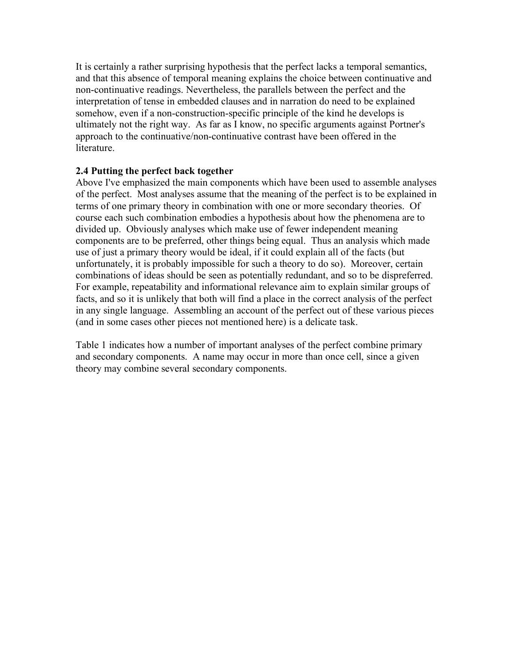It is certainly a rather surprising hypothesis that the perfect lacks a temporal semantics, and that this absence of temporal meaning explains the choice between continuative and non-continuative readings. Nevertheless, the parallels between the perfect and the interpretation of tense in embedded clauses and in narration do need to be explained somehow, even if a non-construction-specific principle of the kind he develops is ultimately not the right way. As far as I know, no specific arguments against Portner's approach to the continuative/non-continuative contrast have been offered in the literature.

#### **2.4 Putting the perfect back together**

Above I've emphasized the main components which have been used to assemble analyses of the perfect. Most analyses assume that the meaning of the perfect is to be explained in terms of one primary theory in combination with one or more secondary theories. Of course each such combination embodies a hypothesis about how the phenomena are to divided up. Obviously analyses which make use of fewer independent meaning components are to be preferred, other things being equal. Thus an analysis which made use of just a primary theory would be ideal, if it could explain all of the facts (but unfortunately, it is probably impossible for such a theory to do so). Moreover, certain combinations of ideas should be seen as potentially redundant, and so to be dispreferred. For example, repeatability and informational relevance aim to explain similar groups of facts, and so it is unlikely that both will find a place in the correct analysis of the perfect in any single language. Assembling an account of the perfect out of these various pieces (and in some cases other pieces not mentioned here) is a delicate task.

Table 1 indicates how a number of important analyses of the perfect combine primary and secondary components. A name may occur in more than once cell, since a given theory may combine several secondary components.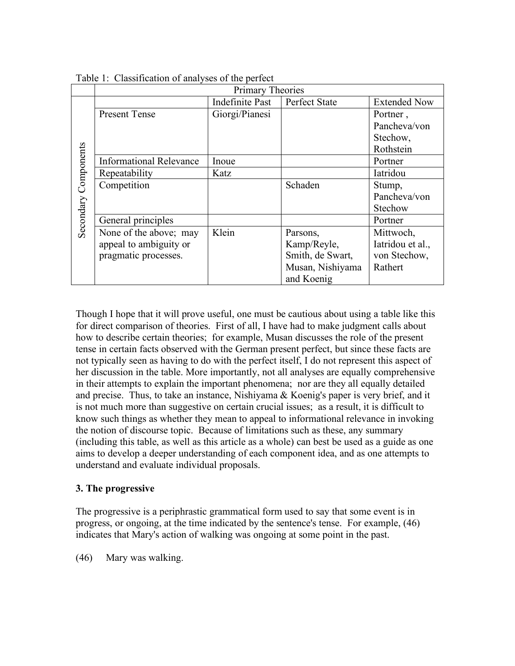|                      | <b>Primary Theories</b>        |                        |                  |                     |  |  |
|----------------------|--------------------------------|------------------------|------------------|---------------------|--|--|
|                      |                                | <b>Indefinite Past</b> | Perfect State    | <b>Extended Now</b> |  |  |
| Secondary Components | <b>Present Tense</b>           | Giorgi/Pianesi         |                  | Portner,            |  |  |
|                      |                                |                        |                  | Pancheva/von        |  |  |
|                      |                                |                        |                  | Stechow,            |  |  |
|                      |                                |                        |                  | Rothstein           |  |  |
|                      | <b>Informational Relevance</b> | Inoue                  |                  | Portner             |  |  |
|                      | Repeatability                  | Katz                   |                  | Iatridou            |  |  |
|                      | Competition                    |                        | Schaden          | Stump,              |  |  |
|                      |                                |                        |                  | Pancheva/von        |  |  |
|                      |                                |                        |                  | Stechow             |  |  |
|                      | General principles             |                        |                  | Portner             |  |  |
|                      | None of the above; may         | Klein                  | Parsons,         | Mittwoch,           |  |  |
|                      | appeal to ambiguity or         |                        | Kamp/Reyle,      | Iatridou et al.,    |  |  |
|                      | pragmatic processes.           |                        | Smith, de Swart, | von Stechow,        |  |  |
|                      |                                |                        | Musan, Nishiyama | Rathert             |  |  |
|                      |                                |                        | and Koenig       |                     |  |  |

Table 1: Classification of analyses of the perfect

Though I hope that it will prove useful, one must be cautious about using a table like this for direct comparison of theories. First of all, I have had to make judgment calls about how to describe certain theories; for example, Musan discusses the role of the present tense in certain facts observed with the German present perfect, but since these facts are not typically seen as having to do with the perfect itself, I do not represent this aspect of her discussion in the table. More importantly, not all analyses are equally comprehensive in their attempts to explain the important phenomena; nor are they all equally detailed and precise. Thus, to take an instance, Nishiyama  $\&$  Koenig's paper is very brief, and it is not much more than suggestive on certain crucial issues; as a result, it is difficult to know such things as whether they mean to appeal to informational relevance in invoking the notion of discourse topic. Because of limitations such as these, any summary (including this table, as well as this article as a whole) can best be used as a guide as one aims to develop a deeper understanding of each component idea, and as one attempts to understand and evaluate individual proposals.

### **3. The progressive**

The progressive is a periphrastic grammatical form used to say that some event is in progress, or ongoing, at the time indicated by the sentence's tense. For example, (46) indicates that Mary's action of walking was ongoing at some point in the past.

(46) Mary was walking.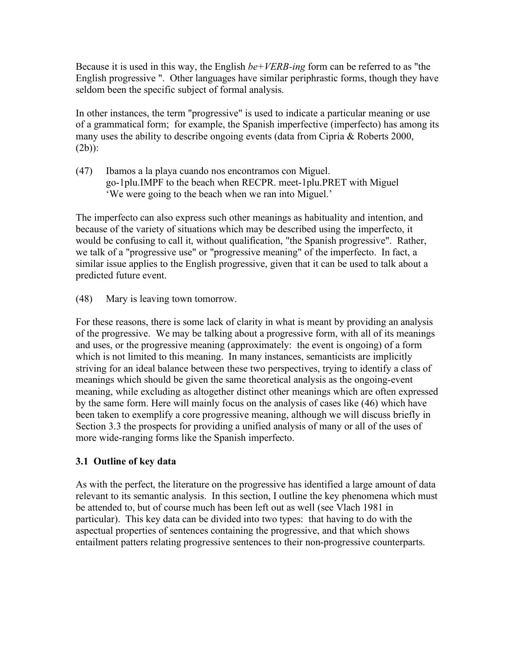Because it is used in this way, the English *be+VERB-ing* form can be referred to as "the English progressive ". Other languages have similar periphrastic forms, though they have seldom been the specific subject of formal analysis.

In other instances, the term "progressive" is used to indicate a particular meaning or use of a grammatical form; for example, the Spanish imperfective (imperfecto) has among its many uses the ability to describe ongoing events (data from Cipria & Roberts 2000, (2b)):

(47) Ibamos a la playa cuando nos encontramos con Miguel. go-1plu.IMPF to the beach when RECPR. meet-1plu.PRET with Miguel 'We were going to the beach when we ran into Miguel.'

The imperfecto can also express such other meanings as habituality and intention, and because of the variety of situations which may be described using the imperfecto, it would be confusing to call it, without qualification, "the Spanish progressive". Rather, we talk of a "progressive use" or "progressive meaning" of the imperfecto. In fact, a similar issue applies to the English progressive, given that it can be used to talk about a predicted future event.

(48) Mary is leaving town tomorrow.

For these reasons, there is some lack of clarity in what is meant by providing an analysis of the progressive. We may be talking about a progressive form, with all of its meanings and uses, or the progressive meaning (approximately: the event is ongoing) of a form which is not limited to this meaning. In many instances, semanticists are implicitly striving for an ideal balance between these two perspectives, trying to identify a class of meanings which should be given the same theoretical analysis as the ongoing-event meaning, while excluding as altogether distinct other meanings which are often expressed by the same form. Here will mainly focus on the analysis of cases like (46) which have been taken to exemplify a core progressive meaning, although we will discuss briefly in Section 3.3 the prospects for providing a unified analysis of many or all of the uses of more wide-ranging forms like the Spanish imperfecto.

# **3.1 Outline of key data**

As with the perfect, the literature on the progressive has identified a large amount of data relevant to its semantic analysis. In this section, I outline the key phenomena which must be attended to, but of course much has been left out as well (see Vlach 1981 in particular). This key data can be divided into two types: that having to do with the aspectual properties of sentences containing the progressive, and that which shows entailment patters relating progressive sentences to their non-progressive counterparts.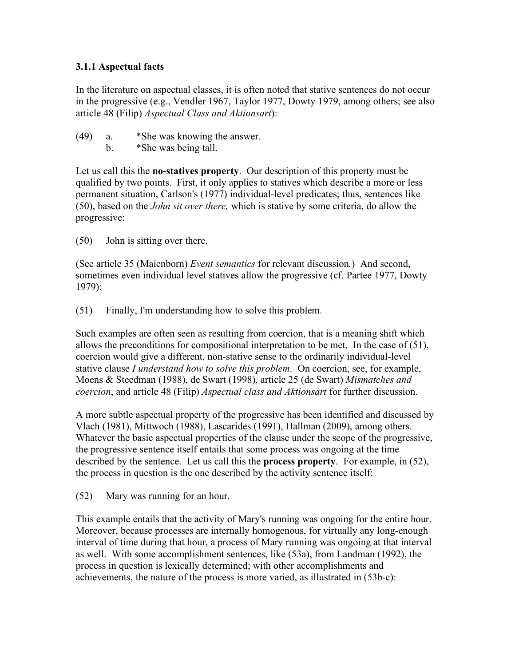# **3.1.1 Aspectual facts**

In the literature on aspectual classes, it is often noted that stative sentences do not occur in the progressive (e.g., Vendler 1967, Taylor 1977, Dowty 1979, among others; see also article 48 (Filip) *Aspectual Class and Aktionsart*):

- (49) a. \*She was knowing the answer.
	- b. \*She was being tall.

Let us call this the **no-statives property**. Our description of this property must be qualified by two points. First, it only applies to statives which describe a more or less permanent situation, Carlson's (1977) individual-level predicates; thus, sentences like (50), based on the *John sit over there,* which is stative by some criteria, do allow the progressive:

(50) John is sitting over there.

(See article 35 (Maienborn) *Event semantics* for relevant discussion*.*) And second, sometimes even individual level statives allow the progressive (cf. Partee 1977, Dowty 1979):

(51) Finally, I'm understanding how to solve this problem.

Such examples are often seen as resulting from coercion, that is a meaning shift which allows the preconditions for compositional interpretation to be met. In the case of (51), coercion would give a different, non-stative sense to the ordinarily individual-level stative clause *I understand how to solve this problem*. On coercion, see, for example, Moens & Steedman (1988), de Swart (1998), article 25 (de Swart) *Mismatches and coercion*, and article 48 (Filip) *Aspectual class and Aktionsart* for further discussion.

A more subtle aspectual property of the progressive has been identified and discussed by Vlach (1981), Mittwoch (1988), Lascarides (1991), Hallman (2009), among others. Whatever the basic aspectual properties of the clause under the scope of the progressive, the progressive sentence itself entails that some process was ongoing at the time described by the sentence. Let us call this the **process property**. For example, in (52), the process in question is the one described by the activity sentence itself:

(52) Mary was running for an hour.

This example entails that the activity of Mary's running was ongoing for the entire hour. Moreover, because processes are internally homogenous, for virtually any long-enough interval of time during that hour, a process of Mary running was ongoing at that interval as well. With some accomplishment sentences, like (53a), from Landman (1992), the process in question is lexically determined; with other accomplishments and achievements, the nature of the process is more varied, as illustrated in (53b-c):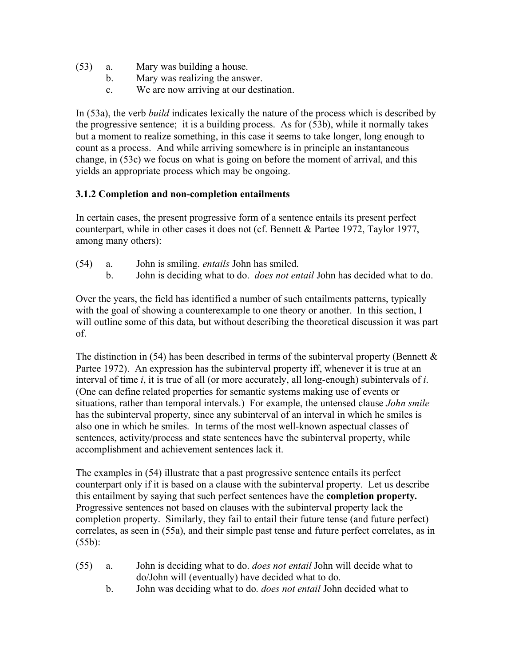- (53) a. Mary was building a house.
	- b. Mary was realizing the answer.
	- c. We are now arriving at our destination.

In (53a), the verb *build* indicates lexically the nature of the process which is described by the progressive sentence; it is a building process. As for (53b), while it normally takes but a moment to realize something, in this case it seems to take longer, long enough to count as a process. And while arriving somewhere is in principle an instantaneous change, in (53c) we focus on what is going on before the moment of arrival, and this yields an appropriate process which may be ongoing.

### **3.1.2 Completion and non-completion entailments**

In certain cases, the present progressive form of a sentence entails its present perfect counterpart, while in other cases it does not (cf. Bennett & Partee 1972, Taylor 1977, among many others):

- (54) a. John is smiling. *entails* John has smiled.
	- b. John is deciding what to do. *does not entail* John has decided what to do.

Over the years, the field has identified a number of such entailments patterns, typically with the goal of showing a counterexample to one theory or another. In this section, I will outline some of this data, but without describing the theoretical discussion it was part of.

The distinction in (54) has been described in terms of the subinterval property (Bennett  $\&$ Partee 1972). An expression has the subinterval property iff, whenever it is true at an interval of time *i*, it is true of all (or more accurately, all long-enough) subintervals of *i*. (One can define related properties for semantic systems making use of events or situations, rather than temporal intervals.) For example, the untensed clause *John smile* has the subinterval property, since any subinterval of an interval in which he smiles is also one in which he smiles. In terms of the most well-known aspectual classes of sentences, activity/process and state sentences have the subinterval property, while accomplishment and achievement sentences lack it.

The examples in (54) illustrate that a past progressive sentence entails its perfect counterpart only if it is based on a clause with the subinterval property. Let us describe this entailment by saying that such perfect sentences have the **completion property.** Progressive sentences not based on clauses with the subinterval property lack the completion property. Similarly, they fail to entail their future tense (and future perfect) correlates, as seen in (55a), and their simple past tense and future perfect correlates, as in  $(55b)$ :

- (55) a. John is deciding what to do. *does not entail* John will decide what to do/John will (eventually) have decided what to do.
	- b. John was deciding what to do. *does not entail* John decided what to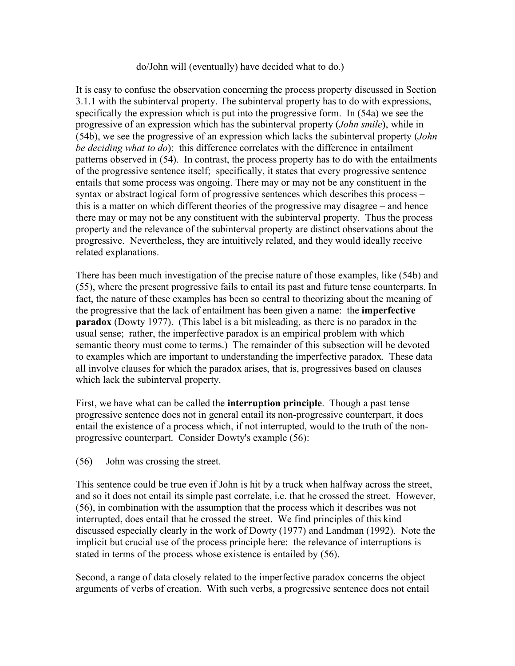do/John will (eventually) have decided what to do.)

It is easy to confuse the observation concerning the process property discussed in Section 3.1.1 with the subinterval property. The subinterval property has to do with expressions, specifically the expression which is put into the progressive form. In (54a) we see the progressive of an expression which has the subinterval property (*John smile*), while in (54b), we see the progressive of an expression which lacks the subinterval property (*John be deciding what to do*); this difference correlates with the difference in entailment patterns observed in (54). In contrast, the process property has to do with the entailments of the progressive sentence itself; specifically, it states that every progressive sentence entails that some process was ongoing. There may or may not be any constituent in the syntax or abstract logical form of progressive sentences which describes this process – this is a matter on which different theories of the progressive may disagree – and hence there may or may not be any constituent with the subinterval property. Thus the process property and the relevance of the subinterval property are distinct observations about the progressive. Nevertheless, they are intuitively related, and they would ideally receive related explanations.

There has been much investigation of the precise nature of those examples, like (54b) and (55), where the present progressive fails to entail its past and future tense counterparts. In fact, the nature of these examples has been so central to theorizing about the meaning of the progressive that the lack of entailment has been given a name: the **imperfective paradox** (Dowty 1977). (This label is a bit misleading, as there is no paradox in the usual sense; rather, the imperfective paradox is an empirical problem with which semantic theory must come to terms.) The remainder of this subsection will be devoted to examples which are important to understanding the imperfective paradox. These data all involve clauses for which the paradox arises, that is, progressives based on clauses which lack the subinterval property.

First, we have what can be called the **interruption principle**. Though a past tense progressive sentence does not in general entail its non-progressive counterpart, it does entail the existence of a process which, if not interrupted, would to the truth of the nonprogressive counterpart. Consider Dowty's example (56):

(56) John was crossing the street.

This sentence could be true even if John is hit by a truck when halfway across the street, and so it does not entail its simple past correlate, i.e. that he crossed the street. However, (56), in combination with the assumption that the process which it describes was not interrupted, does entail that he crossed the street. We find principles of this kind discussed especially clearly in the work of Dowty (1977) and Landman (1992). Note the implicit but crucial use of the process principle here: the relevance of interruptions is stated in terms of the process whose existence is entailed by (56).

Second, a range of data closely related to the imperfective paradox concerns the object arguments of verbs of creation. With such verbs, a progressive sentence does not entail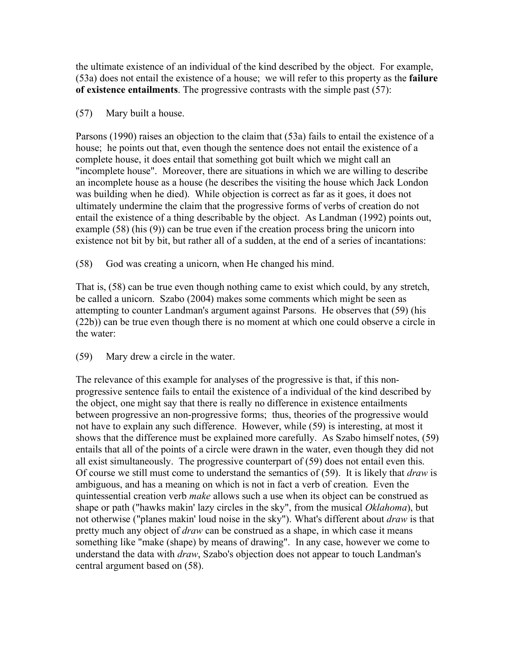the ultimate existence of an individual of the kind described by the object. For example, (53a) does not entail the existence of a house; we will refer to this property as the **failure of existence entailments**. The progressive contrasts with the simple past (57):

#### (57) Mary built a house.

Parsons (1990) raises an objection to the claim that (53a) fails to entail the existence of a house; he points out that, even though the sentence does not entail the existence of a complete house, it does entail that something got built which we might call an "incomplete house". Moreover, there are situations in which we are willing to describe an incomplete house as a house (he describes the visiting the house which Jack London was building when he died). While objection is correct as far as it goes, it does not ultimately undermine the claim that the progressive forms of verbs of creation do not entail the existence of a thing describable by the object. As Landman (1992) points out, example (58) (his (9)) can be true even if the creation process bring the unicorn into existence not bit by bit, but rather all of a sudden, at the end of a series of incantations:

(58) God was creating a unicorn, when He changed his mind.

That is, (58) can be true even though nothing came to exist which could, by any stretch, be called a unicorn. Szabo (2004) makes some comments which might be seen as attempting to counter Landman's argument against Parsons. He observes that (59) (his (22b)) can be true even though there is no moment at which one could observe a circle in the water:

(59) Mary drew a circle in the water.

The relevance of this example for analyses of the progressive is that, if this nonprogressive sentence fails to entail the existence of a individual of the kind described by the object, one might say that there is really no difference in existence entailments between progressive an non-progressive forms; thus, theories of the progressive would not have to explain any such difference. However, while (59) is interesting, at most it shows that the difference must be explained more carefully. As Szabo himself notes, (59) entails that all of the points of a circle were drawn in the water, even though they did not all exist simultaneously. The progressive counterpart of (59) does not entail even this. Of course we still must come to understand the semantics of (59). It is likely that *draw* is ambiguous, and has a meaning on which is not in fact a verb of creation. Even the quintessential creation verb *make* allows such a use when its object can be construed as shape or path ("hawks makin' lazy circles in the sky", from the musical *Oklahoma*), but not otherwise ("planes makin' loud noise in the sky"). What's different about *draw* is that pretty much any object of *draw* can be construed as a shape, in which case it means something like "make (shape) by means of drawing". In any case, however we come to understand the data with *draw*, Szabo's objection does not appear to touch Landman's central argument based on (58).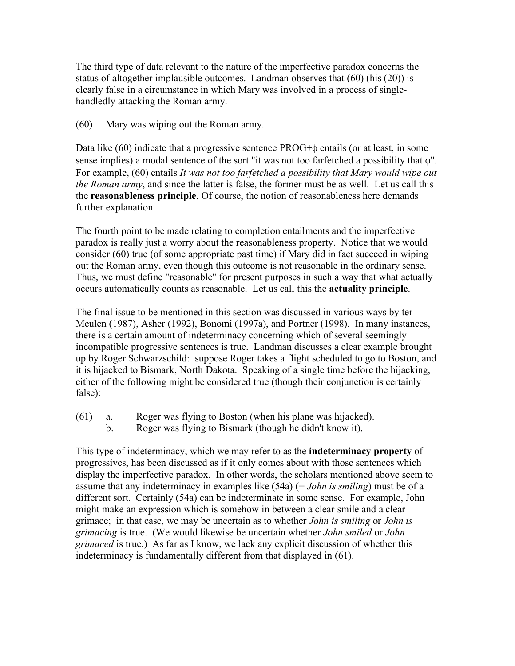The third type of data relevant to the nature of the imperfective paradox concerns the status of altogether implausible outcomes. Landman observes that (60) (his (20)) is clearly false in a circumstance in which Mary was involved in a process of singlehandledly attacking the Roman army.

(60) Mary was wiping out the Roman army.

Data like  $(60)$  indicate that a progressive sentence PROG+ $\phi$  entails (or at least, in some sense implies) a modal sentence of the sort "it was not too farfetched a possibility that φ". For example, (60) entails *It was not too farfetched a possibility that Mary would wipe out the Roman army*, and since the latter is false, the former must be as well. Let us call this the **reasonableness principle**. Of course, the notion of reasonableness here demands further explanation.

The fourth point to be made relating to completion entailments and the imperfective paradox is really just a worry about the reasonableness property. Notice that we would consider (60) true (of some appropriate past time) if Mary did in fact succeed in wiping out the Roman army, even though this outcome is not reasonable in the ordinary sense. Thus, we must define "reasonable" for present purposes in such a way that what actually occurs automatically counts as reasonable. Let us call this the **actuality principle**.

The final issue to be mentioned in this section was discussed in various ways by ter Meulen (1987), Asher (1992), Bonomi (1997a), and Portner (1998). In many instances, there is a certain amount of indeterminacy concerning which of several seemingly incompatible progressive sentences is true. Landman discusses a clear example brought up by Roger Schwarzschild: suppose Roger takes a flight scheduled to go to Boston, and it is hijacked to Bismark, North Dakota. Speaking of a single time before the hijacking, either of the following might be considered true (though their conjunction is certainly false):

- (61) a. Roger was flying to Boston (when his plane was hijacked).
	- b. Roger was flying to Bismark (though he didn't know it).

This type of indeterminacy, which we may refer to as the **indeterminacy property** of progressives, has been discussed as if it only comes about with those sentences which display the imperfective paradox. In other words, the scholars mentioned above seem to assume that any indeterminacy in examples like (54a) (= *John is smiling*) must be of a different sort. Certainly (54a) can be indeterminate in some sense. For example, John might make an expression which is somehow in between a clear smile and a clear grimace; in that case, we may be uncertain as to whether *John is smiling* or *John is grimacing* is true. (We would likewise be uncertain whether *John smiled* or *John grimaced* is true.) As far as I know, we lack any explicit discussion of whether this indeterminacy is fundamentally different from that displayed in (61).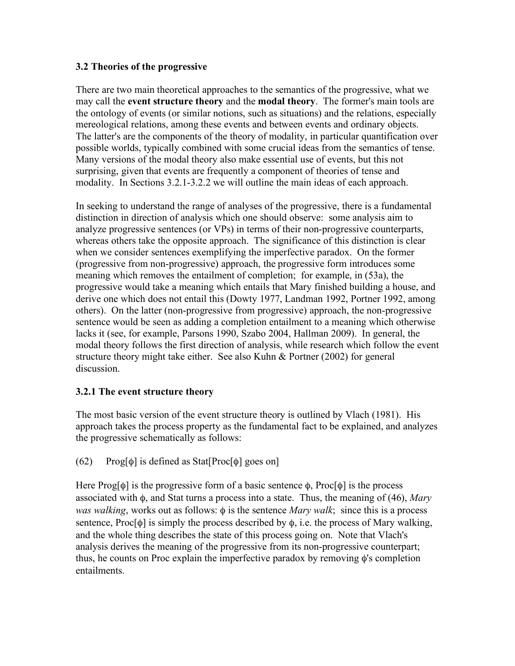### **3.2 Theories of the progressive**

There are two main theoretical approaches to the semantics of the progressive, what we may call the **event structure theory** and the **modal theory**. The former's main tools are the ontology of events (or similar notions, such as situations) and the relations, especially mereological relations, among these events and between events and ordinary objects. The latter's are the components of the theory of modality, in particular quantification over possible worlds, typically combined with some crucial ideas from the semantics of tense. Many versions of the modal theory also make essential use of events, but this not surprising, given that events are frequently a component of theories of tense and modality. In Sections 3.2.1-3.2.2 we will outline the main ideas of each approach.

In seeking to understand the range of analyses of the progressive, there is a fundamental distinction in direction of analysis which one should observe: some analysis aim to analyze progressive sentences (or VPs) in terms of their non-progressive counterparts, whereas others take the opposite approach. The significance of this distinction is clear when we consider sentences exemplifying the imperfective paradox. On the former (progressive from non-progressive) approach, the progressive form introduces some meaning which removes the entailment of completion; for example, in (53a), the progressive would take a meaning which entails that Mary finished building a house, and derive one which does not entail this (Dowty 1977, Landman 1992, Portner 1992, among others). On the latter (non-progressive from progressive) approach, the non-progressive sentence would be seen as adding a completion entailment to a meaning which otherwise lacks it (see, for example, Parsons 1990, Szabo 2004, Hallman 2009). In general, the modal theory follows the first direction of analysis, while research which follow the event structure theory might take either. See also Kuhn & Portner (2002) for general discussion.

# **3.2.1 The event structure theory**

The most basic version of the event structure theory is outlined by Vlach (1981). His approach takes the process property as the fundamental fact to be explained, and analyzes the progressive schematically as follows:

(62) Prog[φ] is defined as Stat[Proc[φ] goes on]

Here Prog[φ] is the progressive form of a basic sentence  $\phi$ , Proc[φ] is the process associated with φ, and Stat turns a process into a state. Thus, the meaning of (46), *Mary was walking*, works out as follows: φ is the sentence *Mary walk*; since this is a process sentence, Proc $[\phi]$  is simply the process described by  $\phi$ , i.e. the process of Mary walking, and the whole thing describes the state of this process going on. Note that Vlach's analysis derives the meaning of the progressive from its non-progressive counterpart; thus, he counts on Proc explain the imperfective paradox by removing φ's completion entailments.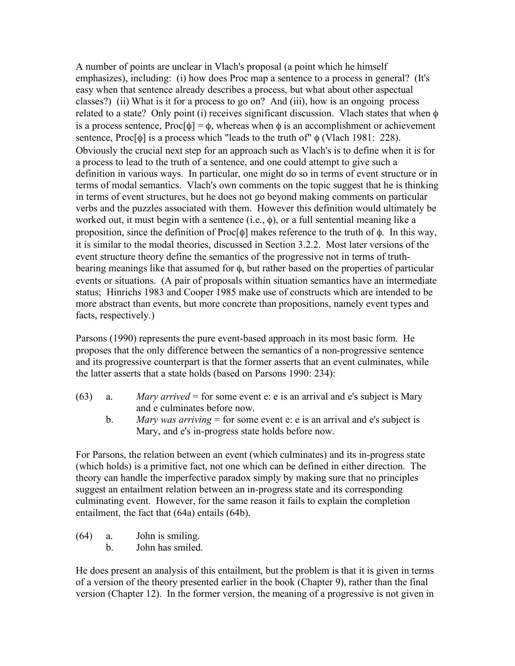A number of points are unclear in Vlach's proposal (a point which he himself emphasizes), including: (i) how does Proc map a sentence to a process in general? (It's easy when that sentence already describes a process, but what about other aspectual classes?) (ii) What is it for a process to go on? And (iii), how is an ongoing process related to a state? Only point (i) receives significant discussion. Vlach states that when φ is a process sentence,  $Proof_{\phi}$ ] =  $\phi$ , whereas when  $\phi$  is an accomplishment or achievement sentence, Proc[ $\phi$ ] is a process which "leads to the truth of"  $\phi$  (Vlach 1981: 228). Obviously the crucial next step for an approach such as Vlach's is to define when it is for a process to lead to the truth of a sentence, and one could attempt to give such a definition in various ways. In particular, one might do so in terms of event structure or in terms of modal semantics. Vlach's own comments on the topic suggest that he is thinking in terms of event structures, but he does not go beyond making comments on particular verbs and the puzzles associated with them. However this definition would ultimately be worked out, it must begin with a sentence (i.e.,  $\phi$ ), or a full sentential meaning like a proposition, since the definition of Proc[φ] makes reference to the truth of φ. In this way, it is similar to the modal theories, discussed in Section 3.2.2. Most later versions of the event structure theory define the semantics of the progressive not in terms of truthbearing meanings like that assumed for φ, but rather based on the properties of particular events or situations. (A pair of proposals within situation semantics have an intermediate status; Hinrichs 1983 and Cooper 1985 make use of constructs which are intended to be more abstract than events, but more concrete than propositions, namely event types and facts, respectively.)

Parsons (1990) represents the pure event-based approach in its most basic form. He proposes that the only difference between the semantics of a non-progressive sentence and its progressive counterpart is that the former asserts that an event culminates, while the latter asserts that a state holds (based on Parsons 1990: 234):

- (63) a. *Mary arrived* = for some event e: e is an arrival and e's subject is Mary and e culminates before now.
	- b. *Mary was arriving* = for some event e: e is an arrival and e's subject is Mary, and e's in-progress state holds before now.

For Parsons, the relation between an event (which culminates) and its in-progress state (which holds) is a primitive fact, not one which can be defined in either direction. The theory can handle the imperfective paradox simply by making sure that no principles suggest an entailment relation between an in-progress state and its corresponding culminating event. However, for the same reason it fails to explain the completion entailment, the fact that (64a) entails (64b).

- (64) a. John is smiling.
	- b. John has smiled.

He does present an analysis of this entailment, but the problem is that it is given in terms of a version of the theory presented earlier in the book (Chapter 9), rather than the final version (Chapter 12). In the former version, the meaning of a progressive is not given in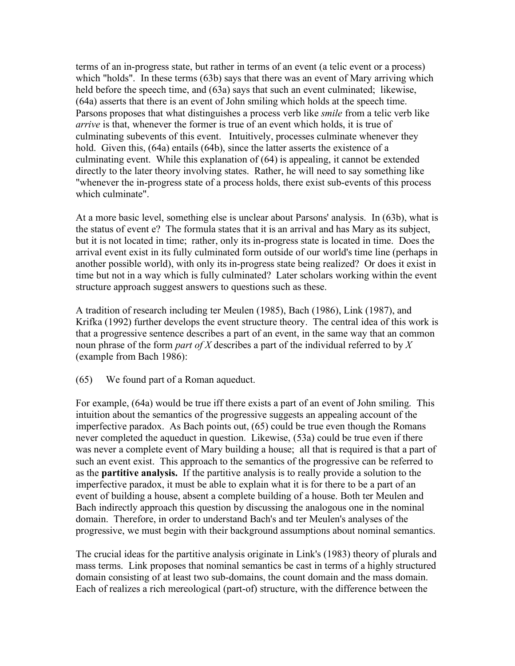terms of an in-progress state, but rather in terms of an event (a telic event or a process) which "holds". In these terms (63b) says that there was an event of Mary arriving which held before the speech time, and (63a) says that such an event culminated; likewise, (64a) asserts that there is an event of John smiling which holds at the speech time. Parsons proposes that what distinguishes a process verb like *smile* from a telic verb like *arrive* is that, whenever the former is true of an event which holds, it is true of culminating subevents of this event. Intuitively, processes culminate whenever they hold. Given this, (64a) entails (64b), since the latter asserts the existence of a culminating event. While this explanation of (64) is appealing, it cannot be extended directly to the later theory involving states. Rather, he will need to say something like "whenever the in-progress state of a process holds, there exist sub-events of this process which culminate".

At a more basic level, something else is unclear about Parsons' analysis. In (63b), what is the status of event e? The formula states that it is an arrival and has Mary as its subject, but it is not located in time; rather, only its in-progress state is located in time. Does the arrival event exist in its fully culminated form outside of our world's time line (perhaps in another possible world), with only its in-progress state being realized? Or does it exist in time but not in a way which is fully culminated? Later scholars working within the event structure approach suggest answers to questions such as these.

A tradition of research including ter Meulen (1985), Bach (1986), Link (1987), and Krifka (1992) further develops the event structure theory. The central idea of this work is that a progressive sentence describes a part of an event, in the same way that an common noun phrase of the form *part of X* describes a part of the individual referred to by *X* (example from Bach 1986):

(65) We found part of a Roman aqueduct.

For example, (64a) would be true iff there exists a part of an event of John smiling. This intuition about the semantics of the progressive suggests an appealing account of the imperfective paradox. As Bach points out, (65) could be true even though the Romans never completed the aqueduct in question. Likewise, (53a) could be true even if there was never a complete event of Mary building a house; all that is required is that a part of such an event exist. This approach to the semantics of the progressive can be referred to as the **partitive analysis.** If the partitive analysis is to really provide a solution to the imperfective paradox, it must be able to explain what it is for there to be a part of an event of building a house, absent a complete building of a house. Both ter Meulen and Bach indirectly approach this question by discussing the analogous one in the nominal domain. Therefore, in order to understand Bach's and ter Meulen's analyses of the progressive, we must begin with their background assumptions about nominal semantics.

The crucial ideas for the partitive analysis originate in Link's (1983) theory of plurals and mass terms. Link proposes that nominal semantics be cast in terms of a highly structured domain consisting of at least two sub-domains, the count domain and the mass domain. Each of realizes a rich mereological (part-of) structure, with the difference between the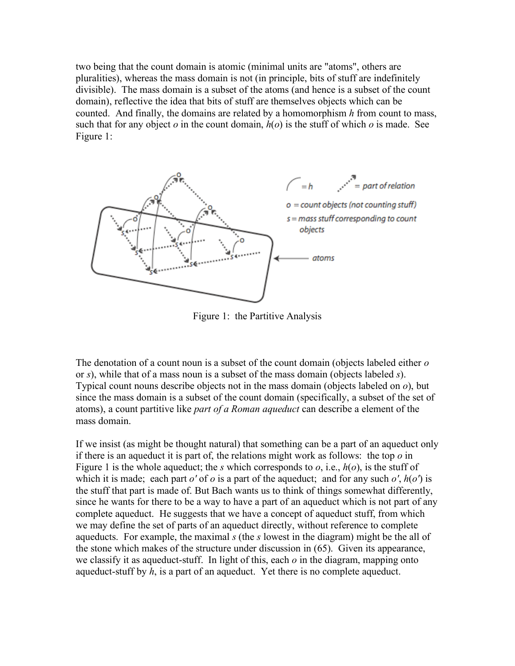two being that the count domain is atomic (minimal units are "atoms", others are pluralities), whereas the mass domain is not (in principle, bits of stuff are indefinitely divisible). The mass domain is a subset of the atoms (and hence is a subset of the count domain), reflective the idea that bits of stuff are themselves objects which can be counted. And finally, the domains are related by a homomorphism *h* from count to mass, such that for any object  $o$  in the count domain,  $h(o)$  is the stuff of which  $o$  is made. See Figure 1:



Figure 1: the Partitive Analysis

The denotation of a count noun is a subset of the count domain (objects labeled either *o* or *s*), while that of a mass noun is a subset of the mass domain (objects labeled *s*). Typical count nouns describe objects not in the mass domain (objects labeled on *o*), but since the mass domain is a subset of the count domain (specifically, a subset of the set of atoms), a count partitive like *part of a Roman aqueduct* can describe a element of the mass domain.

If we insist (as might be thought natural) that something can be a part of an aqueduct only if there is an aqueduct it is part of, the relations might work as follows: the top *o* in Figure 1 is the whole aqueduct; the *s* which corresponds to *o*, i.e., *h*(*o*), is the stuff of which it is made; each part *o'* of *o* is a part of the aqueduct; and for any such *o'*, *h*(*o'*) is the stuff that part is made of. But Bach wants us to think of things somewhat differently, since he wants for there to be a way to have a part of an aqueduct which is not part of any complete aqueduct. He suggests that we have a concept of aqueduct stuff, from which we may define the set of parts of an aqueduct directly, without reference to complete aqueducts. For example, the maximal *s* (the *s* lowest in the diagram) might be the all of the stone which makes of the structure under discussion in (65). Given its appearance, we classify it as aqueduct-stuff. In light of this, each *o* in the diagram, mapping onto aqueduct-stuff by *h*, is a part of an aqueduct. Yet there is no complete aqueduct.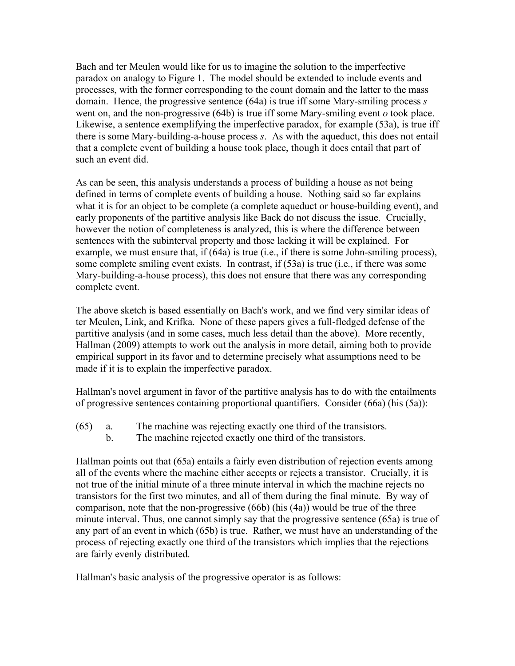Bach and ter Meulen would like for us to imagine the solution to the imperfective paradox on analogy to Figure 1. The model should be extended to include events and processes, with the former corresponding to the count domain and the latter to the mass domain. Hence, the progressive sentence (64a) is true iff some Mary-smiling process *s* went on, and the non-progressive (64b) is true iff some Mary-smiling event *o* took place. Likewise, a sentence exemplifying the imperfective paradox, for example (53a), is true iff there is some Mary-building-a-house process *s*. As with the aqueduct, this does not entail that a complete event of building a house took place, though it does entail that part of such an event did.

As can be seen, this analysis understands a process of building a house as not being defined in terms of complete events of building a house. Nothing said so far explains what it is for an object to be complete (a complete aqueduct or house-building event), and early proponents of the partitive analysis like Back do not discuss the issue. Crucially, however the notion of completeness is analyzed, this is where the difference between sentences with the subinterval property and those lacking it will be explained. For example, we must ensure that, if (64a) is true (i.e., if there is some John-smiling process), some complete smiling event exists. In contrast, if (53a) is true (i.e., if there was some Mary-building-a-house process), this does not ensure that there was any corresponding complete event.

The above sketch is based essentially on Bach's work, and we find very similar ideas of ter Meulen, Link, and Krifka. None of these papers gives a full-fledged defense of the partitive analysis (and in some cases, much less detail than the above). More recently, Hallman (2009) attempts to work out the analysis in more detail, aiming both to provide empirical support in its favor and to determine precisely what assumptions need to be made if it is to explain the imperfective paradox.

Hallman's novel argument in favor of the partitive analysis has to do with the entailments of progressive sentences containing proportional quantifiers. Consider (66a) (his (5a)):

- (65) a. The machine was rejecting exactly one third of the transistors.
	- b. The machine rejected exactly one third of the transistors.

Hallman points out that (65a) entails a fairly even distribution of rejection events among all of the events where the machine either accepts or rejects a transistor. Crucially, it is not true of the initial minute of a three minute interval in which the machine rejects no transistors for the first two minutes, and all of them during the final minute. By way of comparison, note that the non-progressive (66b) (his (4a)) would be true of the three minute interval. Thus, one cannot simply say that the progressive sentence (65a) is true of any part of an event in which (65b) is true. Rather, we must have an understanding of the process of rejecting exactly one third of the transistors which implies that the rejections are fairly evenly distributed.

Hallman's basic analysis of the progressive operator is as follows: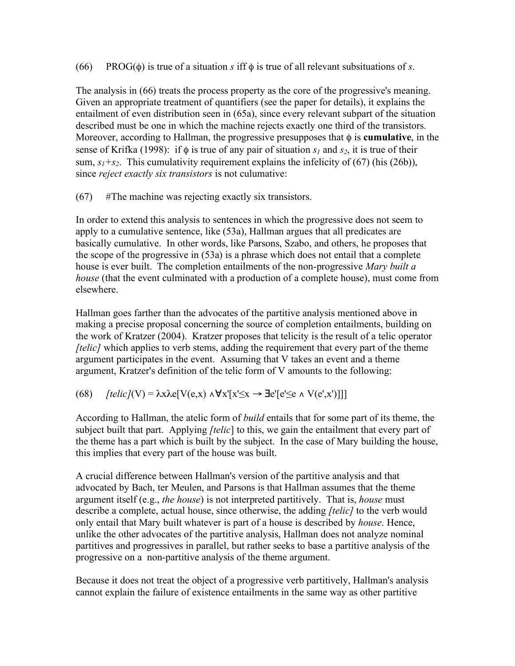(66) PROG( $\phi$ ) is true of a situation *s* iff  $\phi$  is true of all relevant subsituations of *s*.

The analysis in (66) treats the process property as the core of the progressive's meaning. Given an appropriate treatment of quantifiers (see the paper for details), it explains the entailment of even distribution seen in (65a), since every relevant subpart of the situation described must be one in which the machine rejects exactly one third of the transistors. Moreover, according to Hallman, the progressive presupposes that φ is **cumulative**, in the sense of Krifka (1998): if  $\phi$  is true of any pair of situation  $s_1$  and  $s_2$ , it is true of their sum,  $s_1 + s_2$ . This cumulativity requirement explains the infelicity of (67) (his (26b)), since *reject exactly six transistors* is not culumative:

 $(67)$  #The machine was rejecting exactly six transistors.

In order to extend this analysis to sentences in which the progressive does not seem to apply to a cumulative sentence, like (53a), Hallman argues that all predicates are basically cumulative. In other words, like Parsons, Szabo, and others, he proposes that the scope of the progressive in (53a) is a phrase which does not entail that a complete house is ever built. The completion entailments of the non-progressive *Mary built a house* (that the event culminated with a production of a complete house), must come from elsewhere.

Hallman goes farther than the advocates of the partitive analysis mentioned above in making a precise proposal concerning the source of completion entailments, building on the work of Kratzer (2004). Kratzer proposes that telicity is the result of a telic operator *[telic]* which applies to verb stems, adding the requirement that every part of the theme argument participates in the event. Assuming that V takes an event and a theme argument, Kratzer's definition of the telic form of V amounts to the following:

(68) *[telic]*(V) =  $\lambda x \lambda e[V(e,x) \land \forall x'[x' \leq x \rightarrow \exists e'[e' \leq e \land V(e',x')]$ ]]

According to Hallman, the atelic form of *build* entails that for some part of its theme, the subject built that part. Applying *[telic*] to this, we gain the entailment that every part of the theme has a part which is built by the subject. In the case of Mary building the house, this implies that every part of the house was built.

A crucial difference between Hallman's version of the partitive analysis and that advocated by Bach, ter Meulen, and Parsons is that Hallman assumes that the theme argument itself (e.g., *the house*) is not interpreted partitively. That is, *house* must describe a complete, actual house, since otherwise, the adding *[telic]* to the verb would only entail that Mary built whatever is part of a house is described by *house*. Hence, unlike the other advocates of the partitive analysis, Hallman does not analyze nominal partitives and progressives in parallel, but rather seeks to base a partitive analysis of the progressive on a non-partitive analysis of the theme argument.

Because it does not treat the object of a progressive verb partitively, Hallman's analysis cannot explain the failure of existence entailments in the same way as other partitive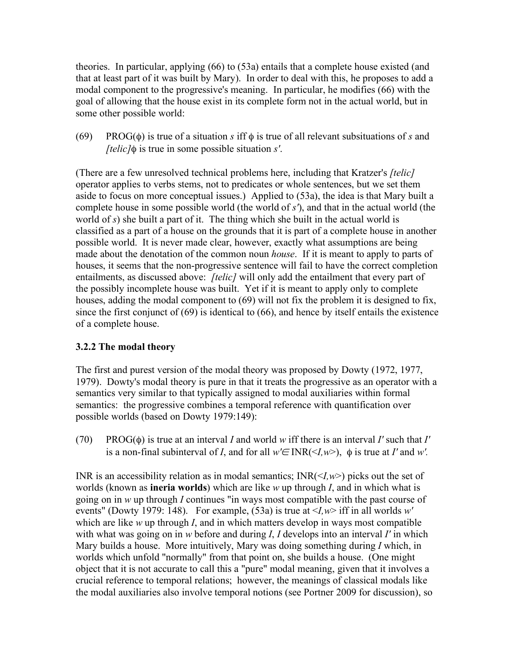theories. In particular, applying (66) to (53a) entails that a complete house existed (and that at least part of it was built by Mary). In order to deal with this, he proposes to add a modal component to the progressive's meaning. In particular, he modifies (66) with the goal of allowing that the house exist in its complete form not in the actual world, but in some other possible world:

(69) PROG(φ) is true of a situation *s* iff φ is true of all relevant subsituations of *s* and *[telic]*φ is true in some possible situation *s'*.

(There are a few unresolved technical problems here, including that Kratzer's *[telic]* operator applies to verbs stems, not to predicates or whole sentences, but we set them aside to focus on more conceptual issues.) Applied to (53a), the idea is that Mary built a complete house in some possible world (the world of *s'*), and that in the actual world (the world of *s*) she built a part of it. The thing which she built in the actual world is classified as a part of a house on the grounds that it is part of a complete house in another possible world. It is never made clear, however, exactly what assumptions are being made about the denotation of the common noun *house*. If it is meant to apply to parts of houses, it seems that the non-progressive sentence will fail to have the correct completion entailments, as discussed above: *[telic]* will only add the entailment that every part of the possibly incomplete house was built. Yet if it is meant to apply only to complete houses, adding the modal component to (69) will not fix the problem it is designed to fix, since the first conjunct of (69) is identical to (66), and hence by itself entails the existence of a complete house.

# **3.2.2 The modal theory**

The first and purest version of the modal theory was proposed by Dowty (1972, 1977, 1979). Dowty's modal theory is pure in that it treats the progressive as an operator with a semantics very similar to that typically assigned to modal auxiliaries within formal semantics: the progressive combines a temporal reference with quantification over possible worlds (based on Dowty 1979:149):

(70) PROG(φ) is true at an interval *I* and world *w* iff there is an interval *I'* such that *I'* is a non-final subinterval of *I*, and for all *w'*<sup>∈</sup> INR(<*I,w*>), φ is true at *I'* and *w'.*

INR is an accessibility relation as in modal semantics;  $INR(\leq l,w>$ ) picks out the set of worlds (known as **ineria worlds**) which are like *w* up through *I*, and in which what is going on in *w* up through *I* continues "in ways most compatible with the past course of events" (Dowty 1979: 148). For example,  $(53a)$  is true at  $\langle I, w \rangle$  iff in all worlds w' which are like *w* up through *I*, and in which matters develop in ways most compatible with what was going on in *w* before and during *I*, *I* develops into an interval *I'* in which Mary builds a house. More intuitively, Mary was doing something during *I* which, in worlds which unfold "normally" from that point on, she builds a house. (One might object that it is not accurate to call this a "pure" modal meaning, given that it involves a crucial reference to temporal relations; however, the meanings of classical modals like the modal auxiliaries also involve temporal notions (see Portner 2009 for discussion), so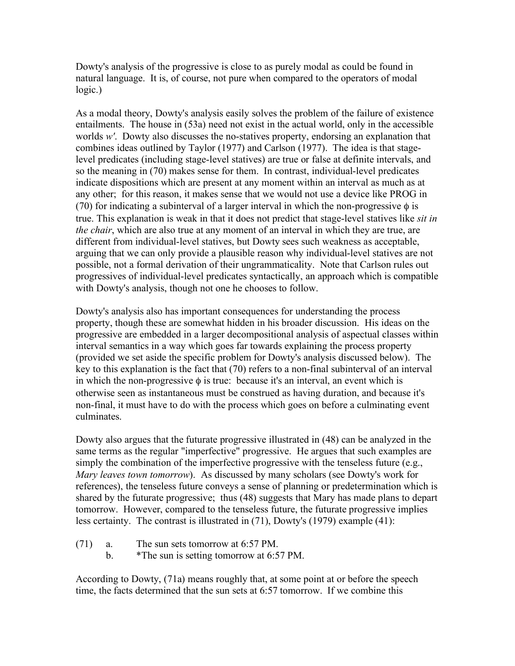Dowty's analysis of the progressive is close to as purely modal as could be found in natural language. It is, of course, not pure when compared to the operators of modal logic.)

As a modal theory, Dowty's analysis easily solves the problem of the failure of existence entailments. The house in (53a) need not exist in the actual world, only in the accessible worlds *w'*. Dowty also discusses the no-statives property, endorsing an explanation that combines ideas outlined by Taylor (1977) and Carlson (1977). The idea is that stagelevel predicates (including stage-level statives) are true or false at definite intervals, and so the meaning in (70) makes sense for them. In contrast, individual-level predicates indicate dispositions which are present at any moment within an interval as much as at any other; for this reason, it makes sense that we would not use a device like PROG in (70) for indicating a subinterval of a larger interval in which the non-progressive  $\phi$  is true. This explanation is weak in that it does not predict that stage-level statives like *sit in the chair*, which are also true at any moment of an interval in which they are true, are different from individual-level statives, but Dowty sees such weakness as acceptable, arguing that we can only provide a plausible reason why individual-level statives are not possible, not a formal derivation of their ungrammaticality. Note that Carlson rules out progressives of individual-level predicates syntactically, an approach which is compatible with Dowty's analysis, though not one he chooses to follow.

Dowty's analysis also has important consequences for understanding the process property, though these are somewhat hidden in his broader discussion. His ideas on the progressive are embedded in a larger decompositional analysis of aspectual classes within interval semantics in a way which goes far towards explaining the process property (provided we set aside the specific problem for Dowty's analysis discussed below). The key to this explanation is the fact that (70) refers to a non-final subinterval of an interval in which the non-progressive  $\phi$  is true: because it's an interval, an event which is otherwise seen as instantaneous must be construed as having duration, and because it's non-final, it must have to do with the process which goes on before a culminating event culminates.

Dowty also argues that the futurate progressive illustrated in (48) can be analyzed in the same terms as the regular "imperfective" progressive. He argues that such examples are simply the combination of the imperfective progressive with the tenseless future (e.g., *Mary leaves town tomorrow*). As discussed by many scholars (see Dowty's work for references), the tenseless future conveys a sense of planning or predetermination which is shared by the futurate progressive; thus (48) suggests that Mary has made plans to depart tomorrow. However, compared to the tenseless future, the futurate progressive implies less certainty. The contrast is illustrated in (71), Dowty's (1979) example (41):

- (71) a. The sun sets tomorrow at 6:57 PM.
	- b. \*The sun is setting tomorrow at 6:57 PM.

According to Dowty, (71a) means roughly that, at some point at or before the speech time, the facts determined that the sun sets at 6:57 tomorrow. If we combine this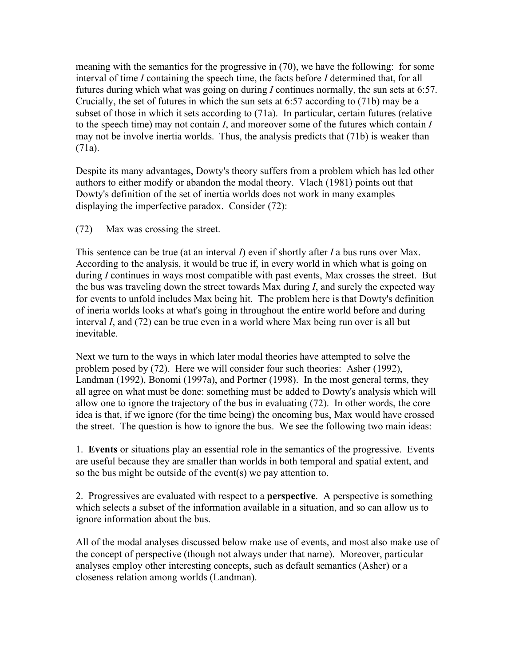meaning with the semantics for the progressive in (70), we have the following: for some interval of time *I* containing the speech time, the facts before *I* determined that, for all futures during which what was going on during *I* continues normally, the sun sets at 6:57. Crucially, the set of futures in which the sun sets at 6:57 according to (71b) may be a subset of those in which it sets according to (71a). In particular, certain futures (relative to the speech time) may not contain *I*, and moreover some of the futures which contain *I* may not be involve inertia worlds. Thus, the analysis predicts that (71b) is weaker than (71a).

Despite its many advantages, Dowty's theory suffers from a problem which has led other authors to either modify or abandon the modal theory. Vlach (1981) points out that Dowty's definition of the set of inertia worlds does not work in many examples displaying the imperfective paradox. Consider (72):

(72) Max was crossing the street.

This sentence can be true (at an interval *I*) even if shortly after *I* a bus runs over Max. According to the analysis, it would be true if, in every world in which what is going on during *I* continues in ways most compatible with past events, Max crosses the street. But the bus was traveling down the street towards Max during *I*, and surely the expected way for events to unfold includes Max being hit. The problem here is that Dowty's definition of ineria worlds looks at what's going in throughout the entire world before and during interval *I*, and (72) can be true even in a world where Max being run over is all but inevitable.

Next we turn to the ways in which later modal theories have attempted to solve the problem posed by (72). Here we will consider four such theories: Asher (1992), Landman (1992), Bonomi (1997a), and Portner (1998). In the most general terms, they all agree on what must be done: something must be added to Dowty's analysis which will allow one to ignore the trajectory of the bus in evaluating (72). In other words, the core idea is that, if we ignore (for the time being) the oncoming bus, Max would have crossed the street. The question is how to ignore the bus. We see the following two main ideas:

1. **Events** or situations play an essential role in the semantics of the progressive. Events are useful because they are smaller than worlds in both temporal and spatial extent, and so the bus might be outside of the event(s) we pay attention to.

2. Progressives are evaluated with respect to a **perspective**. A perspective is something which selects a subset of the information available in a situation, and so can allow us to ignore information about the bus.

All of the modal analyses discussed below make use of events, and most also make use of the concept of perspective (though not always under that name). Moreover, particular analyses employ other interesting concepts, such as default semantics (Asher) or a closeness relation among worlds (Landman).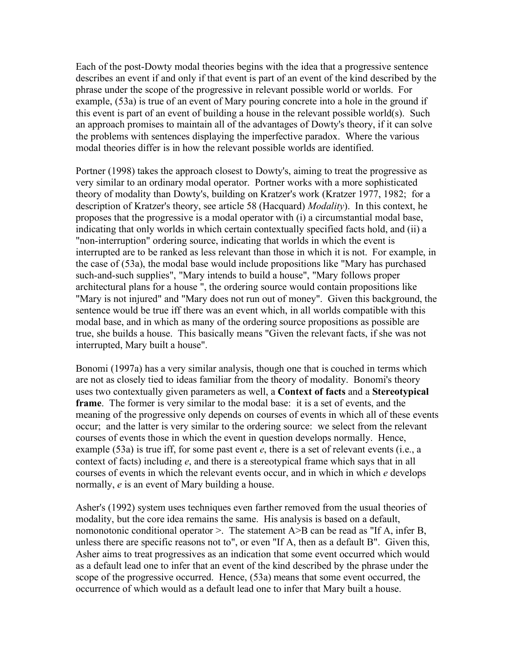Each of the post-Dowty modal theories begins with the idea that a progressive sentence describes an event if and only if that event is part of an event of the kind described by the phrase under the scope of the progressive in relevant possible world or worlds. For example, (53a) is true of an event of Mary pouring concrete into a hole in the ground if this event is part of an event of building a house in the relevant possible world(s). Such an approach promises to maintain all of the advantages of Dowty's theory, if it can solve the problems with sentences displaying the imperfective paradox. Where the various modal theories differ is in how the relevant possible worlds are identified.

Portner (1998) takes the approach closest to Dowty's, aiming to treat the progressive as very similar to an ordinary modal operator. Portner works with a more sophisticated theory of modality than Dowty's, building on Kratzer's work (Kratzer 1977, 1982; for a description of Kratzer's theory, see article 58 (Hacquard) *Modality*). In this context, he proposes that the progressive is a modal operator with (i) a circumstantial modal base, indicating that only worlds in which certain contextually specified facts hold, and (ii) a "non-interruption" ordering source, indicating that worlds in which the event is interrupted are to be ranked as less relevant than those in which it is not. For example, in the case of (53a), the modal base would include propositions like "Mary has purchased such-and-such supplies", "Mary intends to build a house", "Mary follows proper architectural plans for a house ", the ordering source would contain propositions like "Mary is not injured" and "Mary does not run out of money". Given this background, the sentence would be true iff there was an event which, in all worlds compatible with this modal base, and in which as many of the ordering source propositions as possible are true, she builds a house. This basically means "Given the relevant facts, if she was not interrupted, Mary built a house".

Bonomi (1997a) has a very similar analysis, though one that is couched in terms which are not as closely tied to ideas familiar from the theory of modality. Bonomi's theory uses two contextually given parameters as well, a **Context of facts** and a **Stereotypical frame**. The former is very similar to the modal base: it is a set of events, and the meaning of the progressive only depends on courses of events in which all of these events occur; and the latter is very similar to the ordering source: we select from the relevant courses of events those in which the event in question develops normally. Hence, example (53a) is true iff, for some past event *e*, there is a set of relevant events (i.e., a context of facts) including *e*, and there is a stereotypical frame which says that in all courses of events in which the relevant events occur, and in which in which *e* develops normally, *e* is an event of Mary building a house.

Asher's (1992) system uses techniques even farther removed from the usual theories of modality, but the core idea remains the same. His analysis is based on a default, nomonotonic conditional operator  $>$ . The statement A $\geq$ B can be read as "If A, infer B, unless there are specific reasons not to", or even "If A, then as a default B". Given this, Asher aims to treat progressives as an indication that some event occurred which would as a default lead one to infer that an event of the kind described by the phrase under the scope of the progressive occurred. Hence, (53a) means that some event occurred, the occurrence of which would as a default lead one to infer that Mary built a house.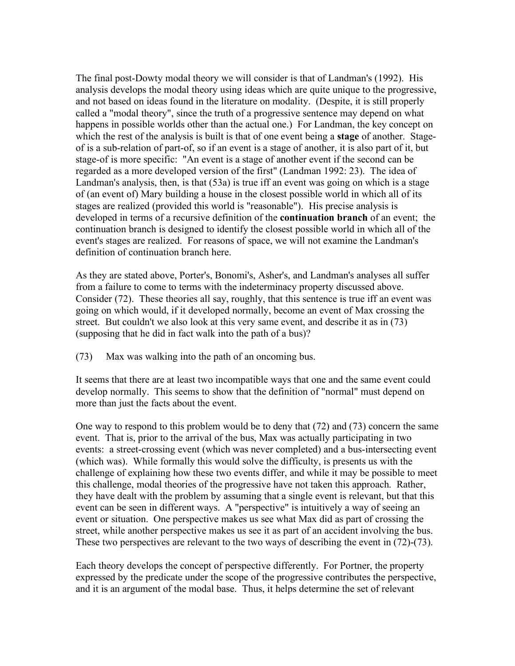The final post-Dowty modal theory we will consider is that of Landman's (1992). His analysis develops the modal theory using ideas which are quite unique to the progressive, and not based on ideas found in the literature on modality. (Despite, it is still properly called a "modal theory", since the truth of a progressive sentence may depend on what happens in possible worlds other than the actual one.) For Landman, the key concept on which the rest of the analysis is built is that of one event being a **stage** of another. Stageof is a sub-relation of part-of, so if an event is a stage of another, it is also part of it, but stage-of is more specific: "An event is a stage of another event if the second can be regarded as a more developed version of the first" (Landman 1992: 23). The idea of Landman's analysis, then, is that (53a) is true iff an event was going on which is a stage of (an event of) Mary building a house in the closest possible world in which all of its stages are realized (provided this world is "reasonable"). His precise analysis is developed in terms of a recursive definition of the **continuation branch** of an event; the continuation branch is designed to identify the closest possible world in which all of the event's stages are realized. For reasons of space, we will not examine the Landman's definition of continuation branch here.

As they are stated above, Porter's, Bonomi's, Asher's, and Landman's analyses all suffer from a failure to come to terms with the indeterminacy property discussed above. Consider (72). These theories all say, roughly, that this sentence is true iff an event was going on which would, if it developed normally, become an event of Max crossing the street. But couldn't we also look at this very same event, and describe it as in (73) (supposing that he did in fact walk into the path of a bus)?

(73) Max was walking into the path of an oncoming bus.

It seems that there are at least two incompatible ways that one and the same event could develop normally. This seems to show that the definition of "normal" must depend on more than just the facts about the event.

One way to respond to this problem would be to deny that (72) and (73) concern the same event. That is, prior to the arrival of the bus, Max was actually participating in two events: a street-crossing event (which was never completed) and a bus-intersecting event (which was). While formally this would solve the difficulty, is presents us with the challenge of explaining how these two events differ, and while it may be possible to meet this challenge, modal theories of the progressive have not taken this approach. Rather, they have dealt with the problem by assuming that a single event is relevant, but that this event can be seen in different ways. A "perspective" is intuitively a way of seeing an event or situation. One perspective makes us see what Max did as part of crossing the street, while another perspective makes us see it as part of an accident involving the bus. These two perspectives are relevant to the two ways of describing the event in (72)-(73).

Each theory develops the concept of perspective differently. For Portner, the property expressed by the predicate under the scope of the progressive contributes the perspective, and it is an argument of the modal base. Thus, it helps determine the set of relevant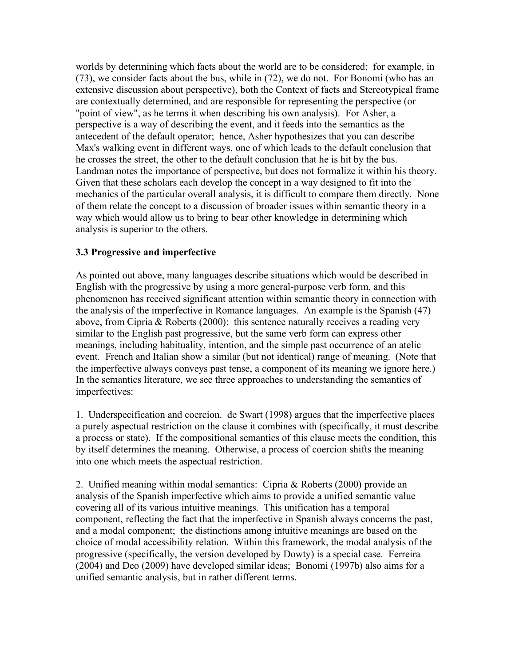worlds by determining which facts about the world are to be considered; for example, in (73), we consider facts about the bus, while in (72), we do not. For Bonomi (who has an extensive discussion about perspective), both the Context of facts and Stereotypical frame are contextually determined, and are responsible for representing the perspective (or "point of view", as he terms it when describing his own analysis). For Asher, a perspective is a way of describing the event, and it feeds into the semantics as the antecedent of the default operator; hence, Asher hypothesizes that you can describe Max's walking event in different ways, one of which leads to the default conclusion that he crosses the street, the other to the default conclusion that he is hit by the bus. Landman notes the importance of perspective, but does not formalize it within his theory. Given that these scholars each develop the concept in a way designed to fit into the mechanics of the particular overall analysis, it is difficult to compare them directly. None of them relate the concept to a discussion of broader issues within semantic theory in a way which would allow us to bring to bear other knowledge in determining which analysis is superior to the others.

#### **3.3 Progressive and imperfective**

As pointed out above, many languages describe situations which would be described in English with the progressive by using a more general-purpose verb form, and this phenomenon has received significant attention within semantic theory in connection with the analysis of the imperfective in Romance languages. An example is the Spanish (47) above, from Cipria & Roberts (2000): this sentence naturally receives a reading very similar to the English past progressive, but the same verb form can express other meanings, including habituality, intention, and the simple past occurrence of an atelic event. French and Italian show a similar (but not identical) range of meaning. (Note that the imperfective always conveys past tense, a component of its meaning we ignore here.) In the semantics literature, we see three approaches to understanding the semantics of imperfectives:

1. Underspecification and coercion. de Swart (1998) argues that the imperfective places a purely aspectual restriction on the clause it combines with (specifically, it must describe a process or state). If the compositional semantics of this clause meets the condition, this by itself determines the meaning. Otherwise, a process of coercion shifts the meaning into one which meets the aspectual restriction.

2. Unified meaning within modal semantics: Cipria & Roberts (2000) provide an analysis of the Spanish imperfective which aims to provide a unified semantic value covering all of its various intuitive meanings. This unification has a temporal component, reflecting the fact that the imperfective in Spanish always concerns the past, and a modal component; the distinctions among intuitive meanings are based on the choice of modal accessibility relation. Within this framework, the modal analysis of the progressive (specifically, the version developed by Dowty) is a special case. Ferreira (2004) and Deo (2009) have developed similar ideas; Bonomi (1997b) also aims for a unified semantic analysis, but in rather different terms.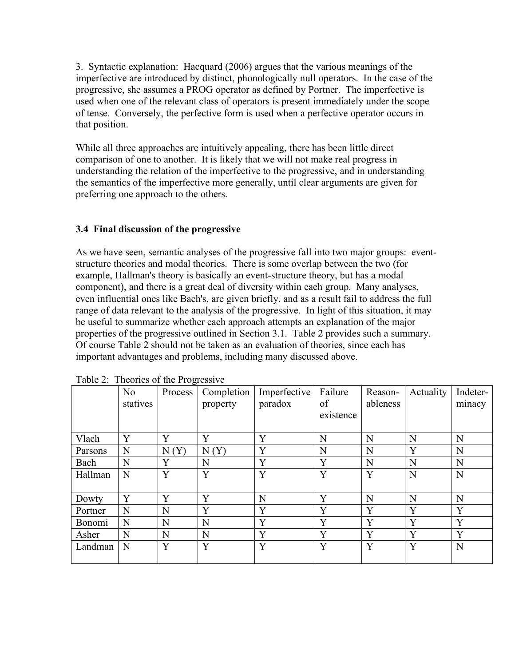3. Syntactic explanation: Hacquard (2006) argues that the various meanings of the imperfective are introduced by distinct, phonologically null operators. In the case of the progressive, she assumes a PROG operator as defined by Portner. The imperfective is used when one of the relevant class of operators is present immediately under the scope of tense. Conversely, the perfective form is used when a perfective operator occurs in that position.

While all three approaches are intuitively appealing, there has been little direct comparison of one to another. It is likely that we will not make real progress in understanding the relation of the imperfective to the progressive, and in understanding the semantics of the imperfective more generally, until clear arguments are given for preferring one approach to the others.

# **3.4 Final discussion of the progressive**

As we have seen, semantic analyses of the progressive fall into two major groups: eventstructure theories and modal theories. There is some overlap between the two (for example, Hallman's theory is basically an event-structure theory, but has a modal component), and there is a great deal of diversity within each group. Many analyses, even influential ones like Bach's, are given briefly, and as a result fail to address the full range of data relevant to the analysis of the progressive. In light of this situation, it may be useful to summarize whether each approach attempts an explanation of the major properties of the progressive outlined in Section 3.1. Table 2 provides such a summary. Of course Table 2 should not be taken as an evaluation of theories, since each has important advantages and problems, including many discussed above.

|         | N <sub>o</sub> | Process | Completion | Imperfective | Failure   | Reason-  | Actuality | Indeter- |
|---------|----------------|---------|------------|--------------|-----------|----------|-----------|----------|
|         | statives       |         | property   | paradox      | of        | ableness |           | minacy   |
|         |                |         |            |              | existence |          |           |          |
|         |                |         |            |              |           |          |           |          |
| Vlach   | Y              | Y       | Y          | Y            | N         | N        | N         | N        |
| Parsons | N              | N(Y)    | N(Y)       | Y            | N         | N        | Y         | N        |
| Bach    | N              | Y       | N          | Y            | Y         | N        | N         | N        |
| Hallman | N              | Y       | Y          | Y            | Y         | Y        | N         | N        |
|         |                |         |            |              |           |          |           |          |
| Dowty   | Y              | Y       | Y          | N            | Y         | N        | N         | N        |
| Portner | N              | N       | Y          | Y            | Y         | Y        | Y         | Y        |
| Bonomi  | N              | N       | N          | Y            | Y         | Y        | Y         | Y        |
| Asher   | N              | N       | N          | Y            | Y         | Y        | Y         | Y        |
| Landman | N              | Y       | Y          | Y            | Y         | Y        | Y         | N        |
|         |                |         |            |              |           |          |           |          |

Table 2: Theories of the Progressive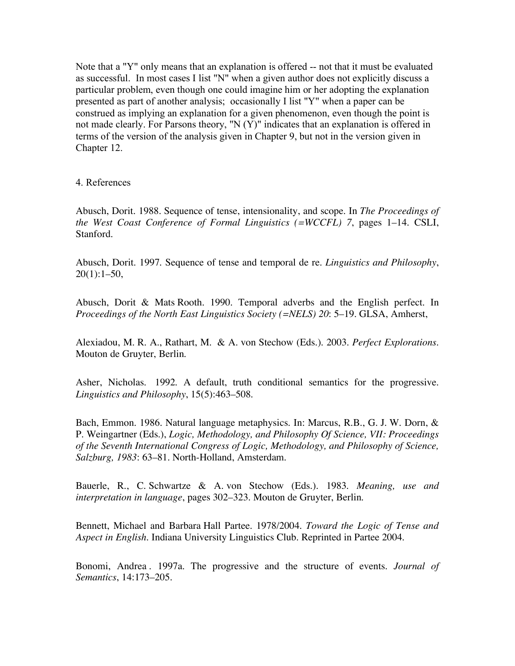Note that a "Y" only means that an explanation is offered -- not that it must be evaluated as successful. In most cases I list "N" when a given author does not explicitly discuss a particular problem, even though one could imagine him or her adopting the explanation presented as part of another analysis; occasionally I list "Y" when a paper can be construed as implying an explanation for a given phenomenon, even though the point is not made clearly. For Parsons theory, "N (Y)" indicates that an explanation is offered in terms of the version of the analysis given in Chapter 9, but not in the version given in Chapter 12.

#### 4. References

Abusch, Dorit. 1988. Sequence of tense, intensionality, and scope. In *The Proceedings of the West Coast Conference of Formal Linguistics (=WCCFL) 7*, pages 1–14. CSLI, Stanford.

Abusch, Dorit. 1997. Sequence of tense and temporal de re. *Linguistics and Philosophy*,  $20(1):1-50$ ,

Abusch, Dorit & Mats Rooth. 1990. Temporal adverbs and the English perfect. In *Proceedings of the North East Linguistics Society (=NELS) 20*: 5–19. GLSA, Amherst,

Alexiadou, M. R. A., Rathart, M. & A. von Stechow (Eds.). 2003. *Perfect Explorations*. Mouton de Gruyter, Berlin.

Asher, Nicholas. 1992. A default, truth conditional semantics for the progressive. *Linguistics and Philosophy*, 15(5):463–508.

Bach, Emmon. 1986. Natural language metaphysics. In: Marcus, R.B., G. J. W. Dorn, & P. Weingartner (Eds.), *Logic, Methodology, and Philosophy Of Science, VII: Proceedings of the Seventh International Congress of Logic, Methodology, and Philosophy of Science, Salzburg, 1983*: 63–81. North-Holland, Amsterdam.

Bauerle, R., C. Schwartze & A. von Stechow (Eds.). 1983. *Meaning, use and interpretation in language*, pages 302–323. Mouton de Gruyter, Berlin.

Bennett, Michael and Barbara Hall Partee. 1978/2004. *Toward the Logic of Tense and Aspect in English*. Indiana University Linguistics Club. Reprinted in Partee 2004.

Bonomi, Andrea . 1997a. The progressive and the structure of events. *Journal of Semantics*, 14:173–205.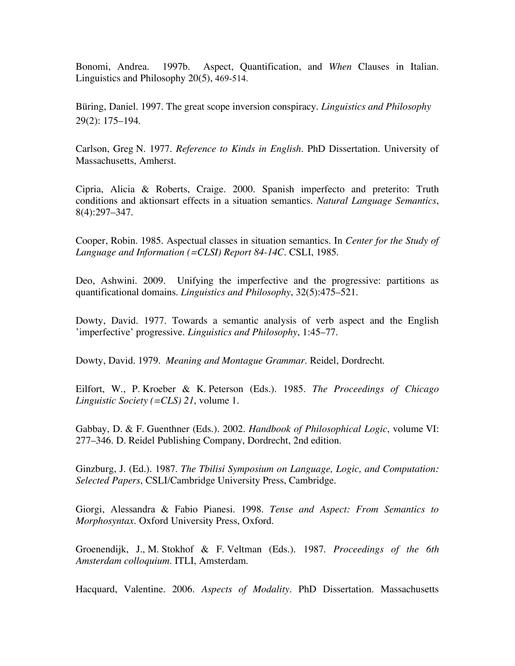Bonomi, Andrea. 1997b. Aspect, Quantification, and *When* Clauses in Italian. Linguistics and Philosophy 20(5), 469-514.

Büring, Daniel. 1997. The great scope inversion conspiracy. *Linguistics and Philosophy* 29(2): 175–194.

Carlson, Greg N. 1977. *Reference to Kinds in English*. PhD Dissertation. University of Massachusetts, Amherst.

Cipria, Alicia & Roberts, Craige. 2000. Spanish imperfecto and preterito: Truth conditions and aktionsart effects in a situation semantics. *Natural Language Semantics*, 8(4):297–347.

Cooper, Robin. 1985. Aspectual classes in situation semantics. In *Center for the Study of Language and Information (=CLSI) Report 84-14C*. CSLI, 1985.

Deo, Ashwini. 2009. Unifying the imperfective and the progressive: partitions as quantificational domains. *Linguistics and Philosophy*, 32(5):475–521.

Dowty, David. 1977. Towards a semantic analysis of verb aspect and the English 'imperfective' progressive. *Linguistics and Philosophy*, 1:45–77.

Dowty, David. 1979. *Meaning and Montague Grammar*. Reidel, Dordrecht.

Eilfort, W., P. Kroeber & K. Peterson (Eds.). 1985. *The Proceedings of Chicago Linguistic Society (=CLS) 21*, volume 1.

Gabbay, D. & F. Guenthner (Eds.). 2002. *Handbook of Philosophical Logic*, volume VI: 277–346. D. Reidel Publishing Company, Dordrecht, 2nd edition.

Ginzburg, J. (Ed.). 1987. *The Tbilisi Symposium on Language, Logic, and Computation: Selected Papers*, CSLI/Cambridge University Press, Cambridge.

Giorgi, Alessandra & Fabio Pianesi. 1998. *Tense and Aspect: From Semantics to Morphosyntax*. Oxford University Press, Oxford.

Groenendijk, J., M. Stokhof & F. Veltman (Eds.). 1987. *Proceedings of the 6th Amsterdam colloquium*. ITLI, Amsterdam.

Hacquard, Valentine. 2006. *Aspects of Modality*. PhD Dissertation. Massachusetts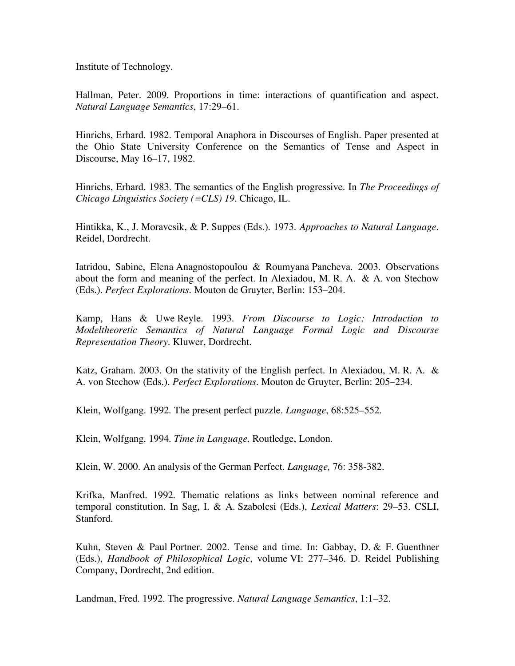Institute of Technology.

Hallman, Peter. 2009. Proportions in time: interactions of quantification and aspect. *Natural Language Semantics*, 17:29–61.

Hinrichs, Erhard. 1982. Temporal Anaphora in Discourses of English. Paper presented at the Ohio State University Conference on the Semantics of Tense and Aspect in Discourse, May 16–17, 1982.

Hinrichs, Erhard. 1983. The semantics of the English progressive. In *The Proceedings of Chicago Linguistics Society (=CLS) 19*. Chicago, IL.

Hintikka, K., J. Moravcsik, & P. Suppes (Eds.). 1973. *Approaches to Natural Language*. Reidel, Dordrecht.

Iatridou, Sabine, Elena Anagnostopoulou & Roumyana Pancheva. 2003. Observations about the form and meaning of the perfect. In Alexiadou, M. R. A. & A. von Stechow (Eds.). *Perfect Explorations*. Mouton de Gruyter, Berlin: 153–204.

Kamp, Hans & Uwe Reyle. 1993. *From Discourse to Logic: Introduction to Modeltheoretic Semantics of Natural Language Formal Logic and Discourse Representation Theory*. Kluwer, Dordrecht.

Katz, Graham. 2003. On the stativity of the English perfect. In Alexiadou, M. R. A. & A. von Stechow (Eds.). *Perfect Explorations*. Mouton de Gruyter, Berlin: 205–234.

Klein, Wolfgang. 1992. The present perfect puzzle. *Language*, 68:525–552.

Klein, Wolfgang. 1994. *Time in Language*. Routledge, London.

Klein, W. 2000. An analysis of the German Perfect. *Language,* 76: 358-382.

Krifka, Manfred. 1992. Thematic relations as links between nominal reference and temporal constitution. In Sag, I. & A. Szabolcsi (Eds.), *Lexical Matters*: 29–53. CSLI, Stanford.

Kuhn, Steven & Paul Portner. 2002. Tense and time. In: Gabbay, D. & F. Guenthner (Eds.), *Handbook of Philosophical Logic*, volume VI: 277–346. D. Reidel Publishing Company, Dordrecht, 2nd edition.

Landman, Fred. 1992. The progressive. *Natural Language Semantics*, 1:1–32.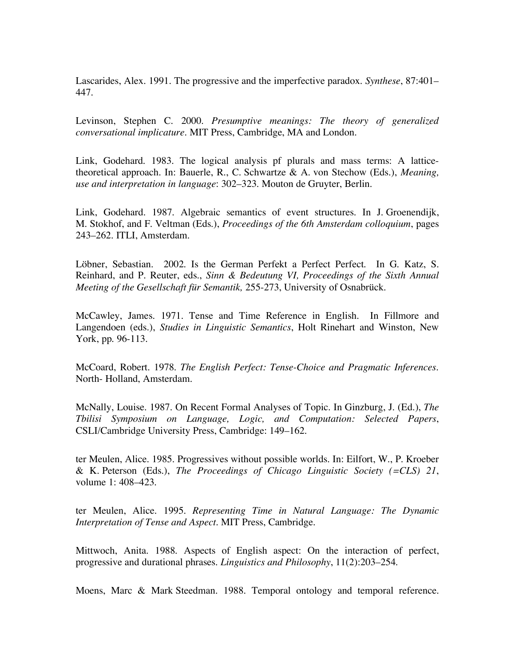Lascarides, Alex. 1991. The progressive and the imperfective paradox. *Synthese*, 87:401– 447.

Levinson, Stephen C. 2000. *Presumptive meanings: The theory of generalized conversational implicature*. MIT Press, Cambridge, MA and London.

Link, Godehard. 1983. The logical analysis pf plurals and mass terms: A latticetheoretical approach. In: Bauerle, R., C. Schwartze & A. von Stechow (Eds.), *Meaning, use and interpretation in language*: 302–323. Mouton de Gruyter, Berlin.

Link, Godehard. 1987. Algebraic semantics of event structures. In J. Groenendijk, M. Stokhof, and F. Veltman (Eds.), *Proceedings of the 6th Amsterdam colloquium*, pages 243–262. ITLI, Amsterdam.

Löbner, Sebastian. 2002. Is the German Perfekt a Perfect Perfect. In G. Katz, S. Reinhard, and P. Reuter, eds., *Sinn & Bedeutung VI, Proceedings of the Sixth Annual Meeting of the Gesellschaft für Semantik,* 255-273, University of Osnabrück.

McCawley, James. 1971. Tense and Time Reference in English. In Fillmore and Langendoen (eds.), *Studies in Linguistic Semantics*, Holt Rinehart and Winston, New York, pp. 96-113.

McCoard, Robert. 1978. *The English Perfect: Tense-Choice and Pragmatic Inferences*. North- Holland, Amsterdam.

McNally, Louise. 1987. On Recent Formal Analyses of Topic. In Ginzburg, J. (Ed.), *The Tbilisi Symposium on Language, Logic, and Computation: Selected Papers*, CSLI/Cambridge University Press, Cambridge: 149–162.

ter Meulen, Alice. 1985. Progressives without possible worlds. In: Eilfort, W., P. Kroeber & K. Peterson (Eds.), *The Proceedings of Chicago Linguistic Society (=CLS) 21*, volume 1: 408–423.

ter Meulen, Alice. 1995. *Representing Time in Natural Language: The Dynamic Interpretation of Tense and Aspect*. MIT Press, Cambridge.

Mittwoch, Anita. 1988. Aspects of English aspect: On the interaction of perfect, progressive and durational phrases. *Linguistics and Philosophy*, 11(2):203–254.

Moens, Marc & Mark Steedman. 1988. Temporal ontology and temporal reference.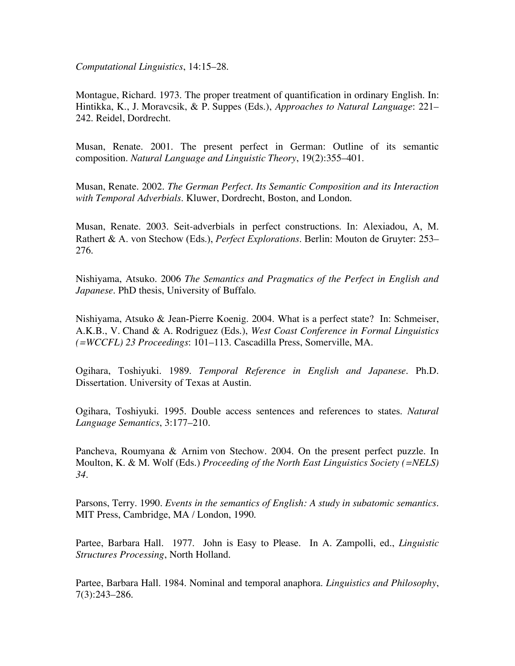*Computational Linguistics*, 14:15–28.

Montague, Richard. 1973. The proper treatment of quantification in ordinary English. In: Hintikka, K., J. Moravcsik, & P. Suppes (Eds.), *Approaches to Natural Language*: 221– 242. Reidel, Dordrecht.

Musan, Renate. 2001. The present perfect in German: Outline of its semantic composition. *Natural Language and Linguistic Theory*, 19(2):355–401.

Musan, Renate. 2002. *The German Perfect. Its Semantic Composition and its Interaction with Temporal Adverbials*. Kluwer, Dordrecht, Boston, and London.

Musan, Renate. 2003. Seit-adverbials in perfect constructions. In: Alexiadou, A, M. Rathert & A. von Stechow (Eds.), *Perfect Explorations*. Berlin: Mouton de Gruyter: 253– 276.

Nishiyama, Atsuko. 2006 *The Semantics and Pragmatics of the Perfect in English and Japanese*. PhD thesis, University of Buffalo.

Nishiyama, Atsuko & Jean-Pierre Koenig. 2004. What is a perfect state? In: Schmeiser, A.K.B., V. Chand & A. Rodriguez (Eds.), *West Coast Conference in Formal Linguistics (=WCCFL) 23 Proceedings*: 101–113. Cascadilla Press, Somerville, MA.

Ogihara, Toshiyuki. 1989. *Temporal Reference in English and Japanese*. Ph.D. Dissertation. University of Texas at Austin.

Ogihara, Toshiyuki. 1995. Double access sentences and references to states. *Natural Language Semantics*, 3:177–210.

Pancheva, Roumyana & Arnim von Stechow. 2004. On the present perfect puzzle. In Moulton, K. & M. Wolf (Eds.) *Proceeding of the North East Linguistics Society (=NELS) 34*.

Parsons, Terry. 1990. *Events in the semantics of English: A study in subatomic semantics*. MIT Press, Cambridge, MA / London, 1990.

Partee, Barbara Hall. 1977. John is Easy to Please. In A. Zampolli, ed., *Linguistic Structures Processing*, North Holland.

Partee, Barbara Hall. 1984. Nominal and temporal anaphora. *Linguistics and Philosophy*, 7(3):243–286.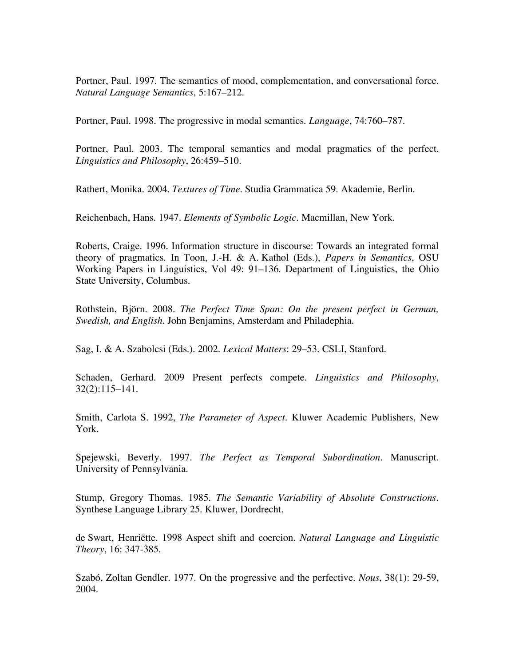Portner, Paul. 1997. The semantics of mood, complementation, and conversational force. *Natural Language Semantics*, 5:167–212.

Portner, Paul. 1998. The progressive in modal semantics. *Language*, 74:760–787.

Portner, Paul. 2003. The temporal semantics and modal pragmatics of the perfect. *Linguistics and Philosophy*, 26:459–510.

Rathert, Monika. 2004. *Textures of Time*. Studia Grammatica 59. Akademie, Berlin.

Reichenbach, Hans. 1947. *Elements of Symbolic Logic*. Macmillan, New York.

Roberts, Craige. 1996. Information structure in discourse: Towards an integrated formal theory of pragmatics. In Toon, J.-H. & A. Kathol (Eds.), *Papers in Semantics*, OSU Working Papers in Linguistics, Vol 49: 91–136. Department of Linguistics, the Ohio State University, Columbus.

Rothstein, Björn. 2008. *The Perfect Time Span: On the present perfect in German, Swedish, and English*. John Benjamins, Amsterdam and Philadephia.

Sag, I. & A. Szabolcsi (Eds.). 2002. *Lexical Matters*: 29–53. CSLI, Stanford.

Schaden, Gerhard. 2009 Present perfects compete. *Linguistics and Philosophy*, 32(2):115–141.

Smith, Carlota S. 1992, *The Parameter of Aspect*. Kluwer Academic Publishers, New York.

Spejewski, Beverly. 1997. *The Perfect as Temporal Subordination.* Manuscript. University of Pennsylvania.

Stump, Gregory Thomas. 1985. *The Semantic Variability of Absolute Constructions*. Synthese Language Library 25. Kluwer, Dordrecht.

de Swart, Henriëtte. 1998 Aspect shift and coercion. *Natural Language and Linguistic Theory*, 16: 347-385.

Szabó, Zoltan Gendler. 1977. On the progressive and the perfective. *Nous*, 38(1): 29-59, 2004.